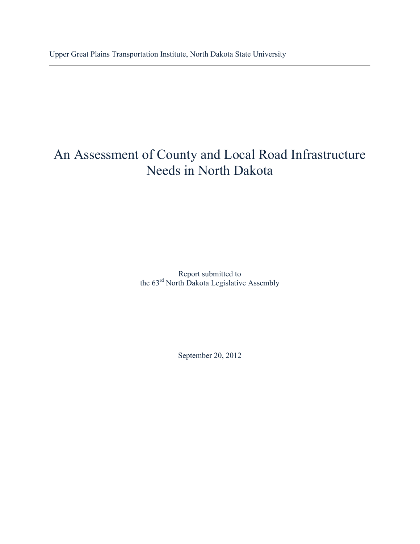# An Assessment of County and Local Road Infrastructure Needs in North Dakota

Report submitted to the 63<sup>rd</sup> North Dakota Legislative Assembly

September 20, 2012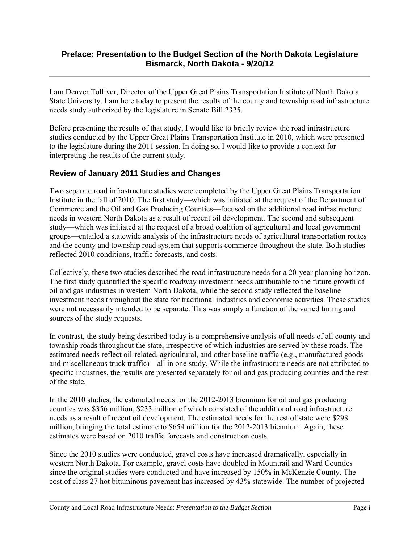#### **Preface: Presentation to the Budget Section of the North Dakota Legislature Bismarck, North Dakota - 9/20/12**

I am Denver Tolliver, Director of the Upper Great Plains Transportation Institute of North Dakota State University. I am here today to present the results of the county and township road infrastructure needs study authorized by the legislature in Senate Bill 2325.

Before presenting the results of that study, I would like to briefly review the road infrastructure studies conducted by the Upper Great Plains Transportation Institute in 2010, which were presented to the legislature during the 2011 session. In doing so, I would like to provide a context for interpreting the results of the current study.

#### **Review of January 2011 Studies and Changes**

Two separate road infrastructure studies were completed by the Upper Great Plains Transportation Institute in the fall of 2010. The first study—which was initiated at the request of the Department of Commerce and the Oil and Gas Producing Counties—focused on the additional road infrastructure needs in western North Dakota as a result of recent oil development. The second and subsequent study—which was initiated at the request of a broad coalition of agricultural and local government groups—entailed a statewide analysis of the infrastructure needs of agricultural transportation routes and the county and township road system that supports commerce throughout the state. Both studies reflected 2010 conditions, traffic forecasts, and costs.

Collectively, these two studies described the road infrastructure needs for a 20-year planning horizon. The first study quantified the specific roadway investment needs attributable to the future growth of oil and gas industries in western North Dakota, while the second study reflected the baseline investment needs throughout the state for traditional industries and economic activities. These studies were not necessarily intended to be separate. This was simply a function of the varied timing and sources of the study requests.

In contrast, the study being described today is a comprehensive analysis of all needs of all county and township roads throughout the state, irrespective of which industries are served by these roads. The estimated needs reflect oil-related, agricultural, and other baseline traffic (e.g., manufactured goods and miscellaneous truck traffic)—all in one study. While the infrastructure needs are not attributed to specific industries, the results are presented separately for oil and gas producing counties and the rest of the state.

In the 2010 studies, the estimated needs for the 2012-2013 biennium for oil and gas producing counties was \$356 million, \$233 million of which consisted of the additional road infrastructure needs as a result of recent oil development. The estimated needs for the rest of state were \$298 million, bringing the total estimate to \$654 million for the 2012-2013 biennium. Again, these estimates were based on 2010 traffic forecasts and construction costs.

Since the 2010 studies were conducted, gravel costs have increased dramatically, especially in western North Dakota. For example, gravel costs have doubled in Mountrail and Ward Counties since the original studies were conducted and have increased by 150% in McKenzie County. The cost of class 27 hot bituminous pavement has increased by 43% statewide. The number of projected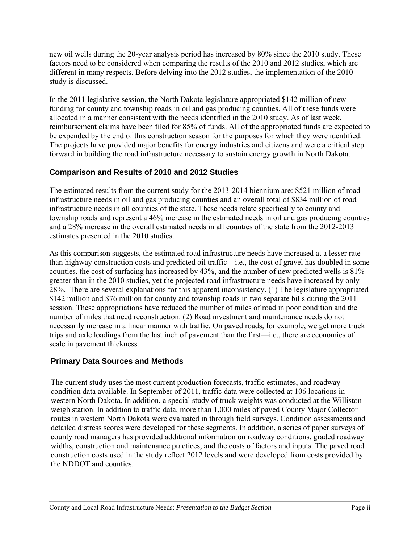new oil wells during the 20-year analysis period has increased by 80% since the 2010 study. These factors need to be considered when comparing the results of the 2010 and 2012 studies, which are different in many respects. Before delving into the 2012 studies, the implementation of the 2010 study is discussed.

In the 2011 legislative session, the North Dakota legislature appropriated \$142 million of new funding for county and township roads in oil and gas producing counties. All of these funds were allocated in a manner consistent with the needs identified in the 2010 study. As of last week, reimbursement claims have been filed for 85% of funds. All of the appropriated funds are expected to be expended by the end of this construction season for the purposes for which they were identified. The projects have provided major benefits for energy industries and citizens and were a critical step forward in building the road infrastructure necessary to sustain energy growth in North Dakota.

#### **Comparison and Results of 2010 and 2012 Studies**

The estimated results from the current study for the 2013-2014 biennium are: \$521 million of road infrastructure needs in oil and gas producing counties and an overall total of \$834 million of road infrastructure needs in all counties of the state. These needs relate specifically to county and township roads and represent a 46% increase in the estimated needs in oil and gas producing counties and a 28% increase in the overall estimated needs in all counties of the state from the 2012-2013 estimates presented in the 2010 studies.

As this comparison suggests, the estimated road infrastructure needs have increased at a lesser rate than highway construction costs and predicted oil traffic—i.e., the cost of gravel has doubled in some counties, the cost of surfacing has increased by 43%, and the number of new predicted wells is 81% greater than in the 2010 studies, yet the projected road infrastructure needs have increased by only 28%. There are several explanations for this apparent inconsistency. (1) The legislature appropriated \$142 million and \$76 million for county and township roads in two separate bills during the 2011 session. These appropriations have reduced the number of miles of road in poor condition and the number of miles that need reconstruction. (2) Road investment and maintenance needs do not necessarily increase in a linear manner with traffic. On paved roads, for example, we get more truck trips and axle loadings from the last inch of pavement than the first—i.e., there are economies of scale in pavement thickness.

#### **Primary Data Sources and Methods**

The current study uses the most current production forecasts, traffic estimates, and roadway condition data available. In September of 2011, traffic data were collected at 106 locations in western North Dakota. In addition, a special study of truck weights was conducted at the Williston weigh station. In addition to traffic data, more than 1,000 miles of paved County Major Collector routes in western North Dakota were evaluated in through field surveys. Condition assessments and detailed distress scores were developed for these segments. In addition, a series of paper surveys of county road managers has provided additional information on roadway conditions, graded roadway widths, construction and maintenance practices, and the costs of factors and inputs. The paved road construction costs used in the study reflect 2012 levels and were developed from costs provided by the NDDOT and counties.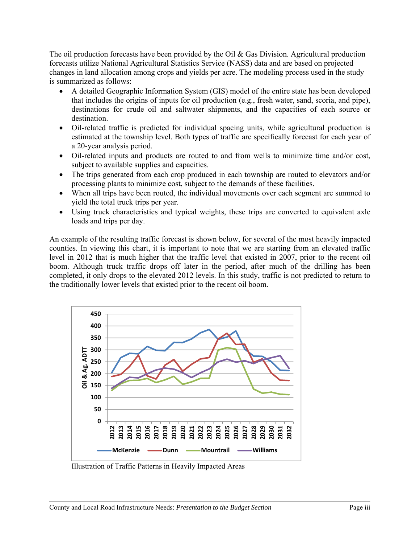The oil production forecasts have been provided by the Oil  $\&$  Gas Division. Agricultural production forecasts utilize National Agricultural Statistics Service (NASS) data and are based on projected changes in land allocation among crops and yields per acre. The modeling process used in the study is summarized as follows:

- A detailed Geographic Information System (GIS) model of the entire state has been developed that includes the origins of inputs for oil production (e.g., fresh water, sand, scoria, and pipe), destinations for crude oil and saltwater shipments, and the capacities of each source or destination.
- Oil-related traffic is predicted for individual spacing units, while agricultural production is estimated at the township level. Both types of traffic are specifically forecast for each year of a 20-year analysis period.
- Oil-related inputs and products are routed to and from wells to minimize time and/or cost, subject to available supplies and capacities.
- The trips generated from each crop produced in each township are routed to elevators and/or processing plants to minimize cost, subject to the demands of these facilities.
- When all trips have been routed, the individual movements over each segment are summed to yield the total truck trips per year.
- Using truck characteristics and typical weights, these trips are converted to equivalent axle loads and trips per day.

An example of the resulting traffic forecast is shown below, for several of the most heavily impacted counties. In viewing this chart, it is important to note that we are starting from an elevated traffic level in 2012 that is much higher that the traffic level that existed in 2007, prior to the recent oil boom. Although truck traffic drops off later in the period, after much of the drilling has been completed, it only drops to the elevated 2012 levels. In this study, traffic is not predicted to return to the traditionally lower levels that existed prior to the recent oil boom.



Illustration of Traffic Patterns in Heavily Impacted Areas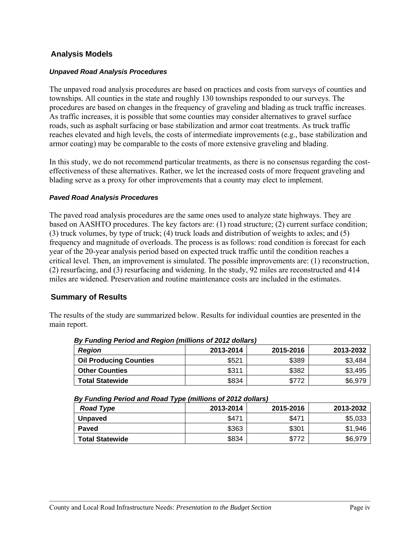#### **Analysis Models**

#### *Unpaved Road Analysis Procedures*

The unpaved road analysis procedures are based on practices and costs from surveys of counties and townships. All counties in the state and roughly 130 townships responded to our surveys. The procedures are based on changes in the frequency of graveling and blading as truck traffic increases. As traffic increases, it is possible that some counties may consider alternatives to gravel surface roads, such as asphalt surfacing or base stabilization and armor coat treatments. As truck traffic reaches elevated and high levels, the costs of intermediate improvements (e.g., base stabilization and armor coating) may be comparable to the costs of more extensive graveling and blading.

In this study, we do not recommend particular treatments, as there is no consensus regarding the costeffectiveness of these alternatives. Rather, we let the increased costs of more frequent graveling and blading serve as a proxy for other improvements that a county may elect to implement.

#### *Paved Road Analysis Procedures*

The paved road analysis procedures are the same ones used to analyze state highways. They are based on AASHTO procedures. The key factors are: (1) road structure; (2) current surface condition; (3) truck volumes, by type of truck; (4) truck loads and distribution of weights to axles; and (5) frequency and magnitude of overloads. The process is as follows: road condition is forecast for each year of the 20-year analysis period based on expected truck traffic until the condition reaches a critical level. Then, an improvement is simulated. The possible improvements are: (1) reconstruction, (2) resurfacing, and (3) resurfacing and widening. In the study, 92 miles are reconstructed and 414 miles are widened. Preservation and routine maintenance costs are included in the estimates.

#### **Summary of Results**

The results of the study are summarized below. Results for individual counties are presented in the main report.

| <b>Region</b>                 | 2013-2014 | 2015-2016 | 2013-2032 |
|-------------------------------|-----------|-----------|-----------|
| <b>Oil Producing Counties</b> | \$521     | \$389     | \$3,484   |
| <b>Other Counties</b>         | \$311     | \$382     | \$3,495   |
| <b>Total Statewide</b>        | \$834     | \$772     | \$6,979   |

*By Funding Period and Region (millions of 2012 dollars)* 

*By Funding Period and Road Type (millions of 2012 dollars)* 

| <b>Road Type</b>       | 2013-2014 | 2015-2016 | 2013-2032 |
|------------------------|-----------|-----------|-----------|
| <b>Unpaved</b>         | \$47'     | \$471     | \$5,033   |
| Paved                  | \$363     | \$301     | \$1,946   |
| <b>Total Statewide</b> | \$834     | \$772     | \$6,979   |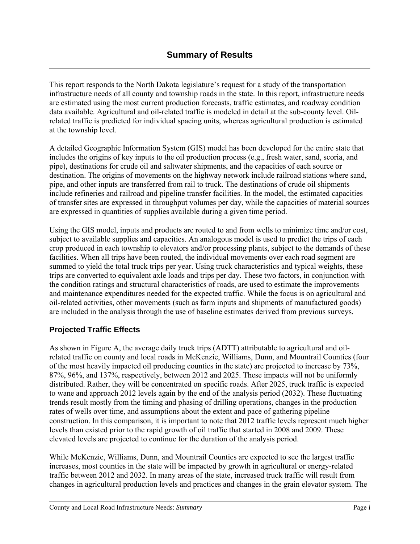This report responds to the North Dakota legislature's request for a study of the transportation infrastructure needs of all county and township roads in the state. In this report, infrastructure needs are estimated using the most current production forecasts, traffic estimates, and roadway condition data available. Agricultural and oil-related traffic is modeled in detail at the sub-county level. Oilrelated traffic is predicted for individual spacing units, whereas agricultural production is estimated at the township level.

A detailed Geographic Information System (GIS) model has been developed for the entire state that includes the origins of key inputs to the oil production process (e.g., fresh water, sand, scoria, and pipe), destinations for crude oil and saltwater shipments, and the capacities of each source or destination. The origins of movements on the highway network include railroad stations where sand, pipe, and other inputs are transferred from rail to truck. The destinations of crude oil shipments include refineries and railroad and pipeline transfer facilities. In the model, the estimated capacities of transfer sites are expressed in throughput volumes per day, while the capacities of material sources are expressed in quantities of supplies available during a given time period.

Using the GIS model, inputs and products are routed to and from wells to minimize time and/or cost, subject to available supplies and capacities. An analogous model is used to predict the trips of each crop produced in each township to elevators and/or processing plants, subject to the demands of these facilities. When all trips have been routed, the individual movements over each road segment are summed to yield the total truck trips per year. Using truck characteristics and typical weights, these trips are converted to equivalent axle loads and trips per day. These two factors, in conjunction with the condition ratings and structural characteristics of roads, are used to estimate the improvements and maintenance expenditures needed for the expected traffic. While the focus is on agricultural and oil-related activities, other movements (such as farm inputs and shipments of manufactured goods) are included in the analysis through the use of baseline estimates derived from previous surveys.

#### **Projected Traffic Effects**

As shown in Figure A, the average daily truck trips (ADTT) attributable to agricultural and oilrelated traffic on county and local roads in McKenzie, Williams, Dunn, and Mountrail Counties (four of the most heavily impacted oil producing counties in the state) are projected to increase by 73%, 87%, 96%, and 137%, respectively, between 2012 and 2025. These impacts will not be uniformly distributed. Rather, they will be concentrated on specific roads. After 2025, truck traffic is expected to wane and approach 2012 levels again by the end of the analysis period (2032). These fluctuating trends result mostly from the timing and phasing of drilling operations, changes in the production rates of wells over time, and assumptions about the extent and pace of gathering pipeline construction. In this comparison, it is important to note that 2012 traffic levels represent much higher levels than existed prior to the rapid growth of oil traffic that started in 2008 and 2009. These elevated levels are projected to continue for the duration of the analysis period.

While McKenzie, Williams, Dunn, and Mountrail Counties are expected to see the largest traffic increases, most counties in the state will be impacted by growth in agricultural or energy-related traffic between 2012 and 2032. In many areas of the state, increased truck traffic will result from changes in agricultural production levels and practices and changes in the grain elevator system. The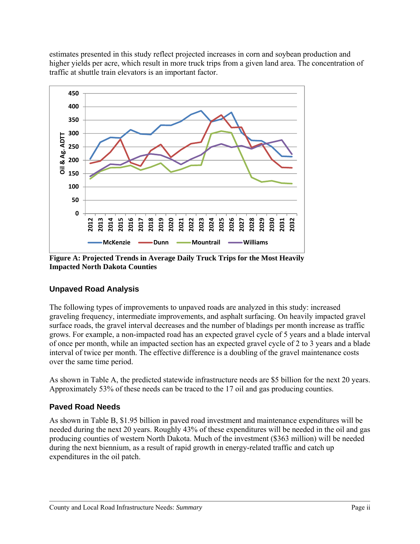estimates presented in this study reflect projected increases in corn and soybean production and higher yields per acre, which result in more truck trips from a given land area. The concentration of traffic at shuttle train elevators is an important factor.



**Figure A: Projected Trends in Average Daily Truck Trips for the Most Heavily Impacted North Dakota Counties** 

#### **Unpaved Road Analysis**

The following types of improvements to unpaved roads are analyzed in this study: increased graveling frequency, intermediate improvements, and asphalt surfacing. On heavily impacted gravel surface roads, the gravel interval decreases and the number of bladings per month increase as traffic grows. For example, a non-impacted road has an expected gravel cycle of 5 years and a blade interval of once per month, while an impacted section has an expected gravel cycle of 2 to 3 years and a blade interval of twice per month. The effective difference is a doubling of the gravel maintenance costs over the same time period.

As shown in Table A, the predicted statewide infrastructure needs are \$5 billion for the next 20 years. Approximately 53% of these needs can be traced to the 17 oil and gas producing counties.

#### **Paved Road Needs**

As shown in Table B, \$1.95 billion in paved road investment and maintenance expenditures will be needed during the next 20 years. Roughly 43% of these expenditures will be needed in the oil and gas producing counties of western North Dakota. Much of the investment (\$363 million) will be needed during the next biennium, as a result of rapid growth in energy-related traffic and catch up expenditures in the oil patch.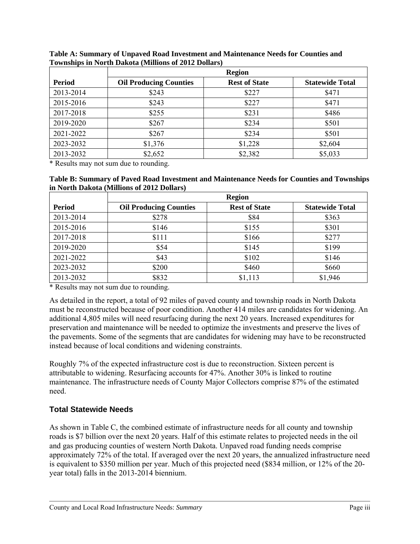|               | <b>Region</b>                 |                      |                        |  |  |  |
|---------------|-------------------------------|----------------------|------------------------|--|--|--|
| <b>Period</b> | <b>Oil Producing Counties</b> | <b>Rest of State</b> | <b>Statewide Total</b> |  |  |  |
| 2013-2014     | \$243                         | \$227                | \$471                  |  |  |  |
| 2015-2016     | \$243                         | \$227                | \$471                  |  |  |  |
| 2017-2018     | \$255                         | \$231                | \$486                  |  |  |  |
| 2019-2020     | \$267                         | \$234                | \$501                  |  |  |  |
| 2021-2022     | \$267                         | \$234                | \$501                  |  |  |  |
| 2023-2032     | \$1,376                       | \$1,228              | \$2,604                |  |  |  |
| 2013-2032     | \$2,652                       | \$2,382              | \$5,033                |  |  |  |

**Table A: Summary of Unpaved Road Investment and Maintenance Needs for Counties and Townships in North Dakota (Millions of 2012 Dollars)**

\* Results may not sum due to rounding.

**Table B: Summary of Paved Road Investment and Maintenance Needs for Counties and Townships in North Dakota (Millions of 2012 Dollars)**

|               | <b>Region</b>                 |                      |                        |  |  |  |
|---------------|-------------------------------|----------------------|------------------------|--|--|--|
| <b>Period</b> | <b>Oil Producing Counties</b> | <b>Rest of State</b> | <b>Statewide Total</b> |  |  |  |
| 2013-2014     | \$278                         | \$84                 | \$363                  |  |  |  |
| 2015-2016     | \$146                         | \$155                | \$301                  |  |  |  |
| 2017-2018     | \$111                         | \$166                | \$277                  |  |  |  |
| 2019-2020     | \$54                          | \$145                | \$199                  |  |  |  |
| 2021-2022     | \$43                          | \$102                | \$146                  |  |  |  |
| 2023-2032     | \$200                         | \$460                | \$660                  |  |  |  |
| 2013-2032     | \$832                         | \$1,113              | \$1,946                |  |  |  |

\* Results may not sum due to rounding.

As detailed in the report, a total of 92 miles of paved county and township roads in North Dakota must be reconstructed because of poor condition. Another 414 miles are candidates for widening. An additional 4,805 miles will need resurfacing during the next 20 years. Increased expenditures for preservation and maintenance will be needed to optimize the investments and preserve the lives of the pavements. Some of the segments that are candidates for widening may have to be reconstructed instead because of local conditions and widening constraints.

Roughly 7% of the expected infrastructure cost is due to reconstruction. Sixteen percent is attributable to widening. Resurfacing accounts for 47%. Another 30% is linked to routine maintenance. The infrastructure needs of County Major Collectors comprise 87% of the estimated need.

#### **Total Statewide Needs**

As shown in Table C, the combined estimate of infrastructure needs for all county and township roads is \$7 billion over the next 20 years. Half of this estimate relates to projected needs in the oil and gas producing counties of western North Dakota. Unpaved road funding needs comprise approximately 72% of the total. If averaged over the next 20 years, the annualized infrastructure need is equivalent to \$350 million per year. Much of this projected need (\$834 million, or 12% of the 20 year total) falls in the 2013-2014 biennium.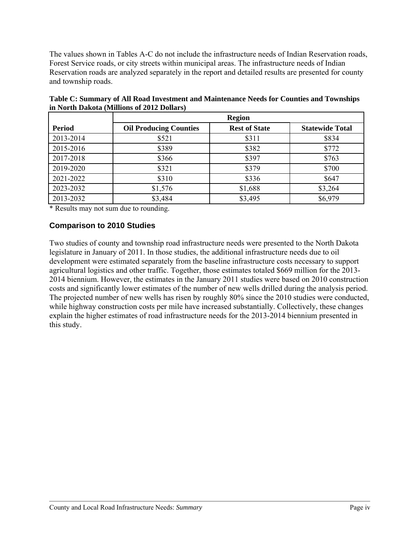The values shown in Tables A-C do not include the infrastructure needs of Indian Reservation roads, Forest Service roads, or city streets within municipal areas. The infrastructure needs of Indian Reservation roads are analyzed separately in the report and detailed results are presented for county and township roads.

|               | <b>Region</b>                 |                      |                        |  |  |  |  |
|---------------|-------------------------------|----------------------|------------------------|--|--|--|--|
| <b>Period</b> | <b>Oil Producing Counties</b> | <b>Rest of State</b> | <b>Statewide Total</b> |  |  |  |  |
| 2013-2014     | \$521                         | \$311                | \$834                  |  |  |  |  |
| 2015-2016     | \$389                         | \$382                | \$772                  |  |  |  |  |
| 2017-2018     | \$366                         | \$397                | \$763                  |  |  |  |  |
| 2019-2020     | \$321                         | \$379                | \$700                  |  |  |  |  |
| 2021-2022     | \$310                         | \$336                | \$647                  |  |  |  |  |
| 2023-2032     | \$1,576                       | \$1,688              | \$3,264                |  |  |  |  |
| 2013-2032     | \$3,484                       | \$3,495              | \$6,979                |  |  |  |  |

**Table C: Summary of All Road Investment and Maintenance Needs for Counties and Townships in North Dakota (Millions of 2012 Dollars)**

\* Results may not sum due to rounding.

#### **Comparison to 2010 Studies**

Two studies of county and township road infrastructure needs were presented to the North Dakota legislature in January of 2011. In those studies, the additional infrastructure needs due to oil development were estimated separately from the baseline infrastructure costs necessary to support agricultural logistics and other traffic. Together, those estimates totaled \$669 million for the 2013- 2014 biennium. However, the estimates in the January 2011 studies were based on 2010 construction costs and significantly lower estimates of the number of new wells drilled during the analysis period. The projected number of new wells has risen by roughly 80% since the 2010 studies were conducted, while highway construction costs per mile have increased substantially. Collectively, these changes explain the higher estimates of road infrastructure needs for the 2013-2014 biennium presented in this study.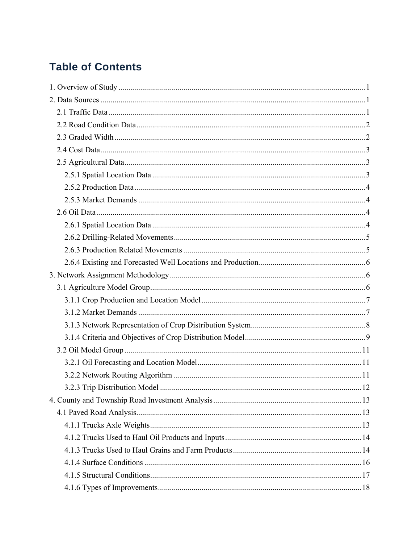# **Table of Contents**

| .12 |
|-----|
|     |
|     |
|     |
|     |
|     |
|     |
|     |
|     |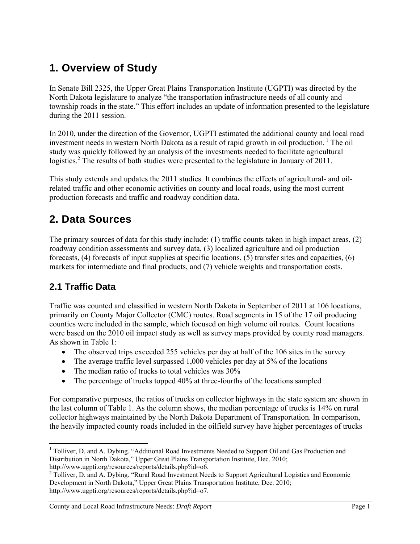# **1. Overview of Study**

In Senate Bill 2325, the Upper Great Plains Transportation Institute (UGPTI) was directed by the North Dakota legislature to analyze "the transportation infrastructure needs of all county and township roads in the state." This effort includes an update of information presented to the legislature during the 2011 session.

In 2010, under the direction of the Governor, UGPTI estimated the additional county and local road investment needs in western North Dakota as a result of rapid growth in oil production.  $\frac{1}{1}$  The oil study was quickly followed by an analysis of the investments needed to facilitate agricultural logistics.<sup>2</sup> The results of both studies were presented to the legislature in January of 2011.

This study extends and updates the 2011 studies. It combines the effects of agricultural- and oilrelated traffic and other economic activities on county and local roads, using the most current production forecasts and traffic and roadway condition data.

# **2. Data Sources**

The primary sources of data for this study include: (1) traffic counts taken in high impact areas, (2) roadway condition assessments and survey data, (3) localized agriculture and oil production forecasts, (4) forecasts of input supplies at specific locations, (5) transfer sites and capacities, (6) markets for intermediate and final products, and (7) vehicle weights and transportation costs.

## **2.1 Traffic Data**

Traffic was counted and classified in western North Dakota in September of 2011 at 106 locations, primarily on County Major Collector (CMC) routes. Road segments in 15 of the 17 oil producing counties were included in the sample, which focused on high volume oil routes. Count locations were based on the 2010 oil impact study as well as survey maps provided by county road managers. As shown in Table 1:

- The observed trips exceeded 255 vehicles per day at half of the 106 sites in the survey
- The average traffic level surpassed 1,000 vehicles per day at 5% of the locations
- The median ratio of trucks to total vehicles was 30%
- The percentage of trucks topped 40% at three-fourths of the locations sampled

For comparative purposes, the ratios of trucks on collector highways in the state system are shown in the last column of Table 1. As the column shows, the median percentage of trucks is 14% on rural collector highways maintained by the North Dakota Department of Transportation. In comparison, the heavily impacted county roads included in the oilfield survey have higher percentages of trucks

 <sup>1</sup> Tolliver, D. and A. Dybing. "Additional Road Investments Needed to Support Oil and Gas Production and Distribution in North Dakota," Upper Great Plains Transportation Institute, Dec. 2010; http://www.ugpti.org/resources/reports/details.php?id=o6.

<sup>&</sup>lt;sup>2</sup> Tolliver, D. and A. Dybing. "Rural Road Investment Needs to Support Agricultural Logistics and Economic Development in North Dakota," Upper Great Plains Transportation Institute, Dec. 2010; http://www.ugpti.org/resources/reports/details.php?id=o7.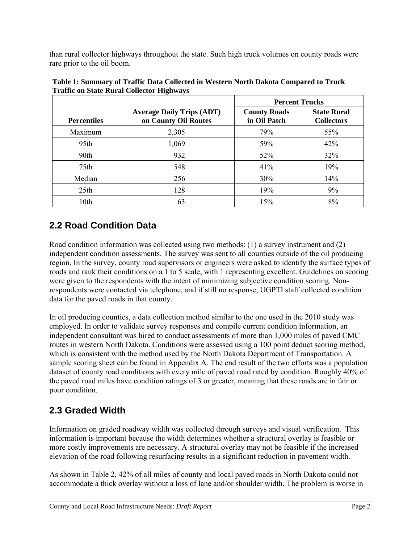than rural collector highways throughout the state. Such high truck volumes on county roads were rare prior to the oil boom.

|                    |                                                          | <b>Percent Trucks</b>               |                                         |  |  |  |  |
|--------------------|----------------------------------------------------------|-------------------------------------|-----------------------------------------|--|--|--|--|
| <b>Percentiles</b> | <b>Average Daily Trips (ADT)</b><br>on County Oil Routes | <b>County Roads</b><br>in Oil Patch | <b>State Rural</b><br><b>Collectors</b> |  |  |  |  |
| Maximum            | 2,305                                                    | 79%                                 | 55%                                     |  |  |  |  |
| 95th               | 1,069                                                    | 59%                                 | 42%                                     |  |  |  |  |
| 90th               | 932                                                      | 52%                                 | 32%                                     |  |  |  |  |
| 75th               | 548                                                      | 41%                                 | 19%                                     |  |  |  |  |
| Median             | 256                                                      | 30%                                 | 14%                                     |  |  |  |  |
| 25 <sub>th</sub>   | 128                                                      | 19%                                 | 9%                                      |  |  |  |  |
| 10th               | 63                                                       | 15%                                 | 8%                                      |  |  |  |  |

**Table 1: Summary of Traffic Data Collected in Western North Dakota Compared to Truck Traffic on State Rural Collector Highways** 

## **2.2 Road Condition Data**

Road condition information was collected using two methods: (1) a survey instrument and (2) independent condition assessments. The survey was sent to all counties outside of the oil producing region. In the survey, county road supervisors or engineers were asked to identify the surface types of roads and rank their conditions on a 1 to 5 scale, with 1 representing excellent. Guidelines on scoring were given to the respondents with the intent of minimizing subjective condition scoring. Nonrespondents were contacted via telephone, and if still no response, UGPTI staff collected condition data for the paved roads in that county.

In oil producing counties, a data collection method similar to the one used in the 2010 study was employed. In order to validate survey responses and compile current condition information, an independent consultant was hired to conduct assessments of more than 1,000 miles of paved CMC routes in western North Dakota. Conditions were assessed using a 100 point deduct scoring method, which is consistent with the method used by the North Dakota Department of Transportation. A sample scoring sheet can be found in Appendix A. The end result of the two efforts was a population dataset of county road conditions with every mile of paved road rated by condition. Roughly 40% of the paved road miles have condition ratings of 3 or greater, meaning that these roads are in fair or poor condition.

## **2.3 Graded Width**

Information on graded roadway width was collected through surveys and visual verification. This information is important because the width determines whether a structural overlay is feasible or more costly improvements are necessary. A structural overlay may not be feasible if the increased elevation of the road following resurfacing results in a significant reduction in pavement width.

As shown in Table 2, 42% of all miles of county and local paved roads in North Dakota could not accommodate a thick overlay without a loss of lane and/or shoulder width. The problem is worse in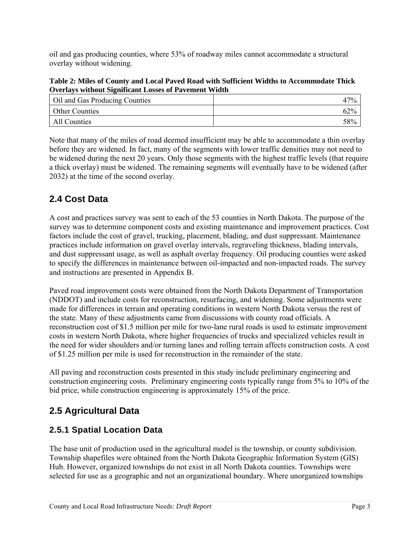oil and gas producing counties, where 53% of roadway miles cannot accommodate a structural overlay without widening.

**Table 2: Miles of County and Local Paved Road with Sufficient Widths to Accommodate Thick Overlays without Significant Losses of Pavement Width** 

| Oil and Gas Producing Counties | 47% |
|--------------------------------|-----|
| <b>Other Counties</b>          | 62% |
| All Counties                   | 58% |

Note that many of the miles of road deemed insufficient may be able to accommodate a thin overlay before they are widened. In fact, many of the segments with lower traffic densities may not need to be widened during the next 20 years. Only those segments with the highest traffic levels (that require a thick overlay) must be widened. The remaining segments will eventually have to be widened (after 2032) at the time of the second overlay.

## **2.4 Cost Data**

A cost and practices survey was sent to each of the 53 counties in North Dakota. The purpose of the survey was to determine component costs and existing maintenance and improvement practices. Cost factors include the cost of gravel, trucking, placement, blading, and dust suppressant. Maintenance practices include information on gravel overlay intervals, regraveling thickness, blading intervals, and dust suppressant usage, as well as asphalt overlay frequency. Oil producing counties were asked to specify the differences in maintenance between oil-impacted and non-impacted roads. The survey and instructions are presented in Appendix B.

Paved road improvement costs were obtained from the North Dakota Department of Transportation (NDDOT) and include costs for reconstruction, resurfacing, and widening. Some adjustments were made for differences in terrain and operating conditions in western North Dakota versus the rest of the state. Many of these adjustments came from discussions with county road officials. A reconstruction cost of \$1.5 million per mile for two-lane rural roads is used to estimate improvement costs in western North Dakota, where higher frequencies of trucks and specialized vehicles result in the need for wider shoulders and/or turning lanes and rolling terrain affects construction costs. A cost of \$1.25 million per mile is used for reconstruction in the remainder of the state.

All paving and reconstruction costs presented in this study include preliminary engineering and construction engineering costs. Preliminary engineering costs typically range from 5% to 10% of the bid price, while construction engineering is approximately 15% of the price.

## **2.5 Agricultural Data**

#### **2.5.1 Spatial Location Data**

The base unit of production used in the agricultural model is the township, or county subdivision. Township shapefiles were obtained from the North Dakota Geographic Information System (GIS) Hub. However, organized townships do not exist in all North Dakota counties. Townships were selected for use as a geographic and not an organizational boundary. Where unorganized townships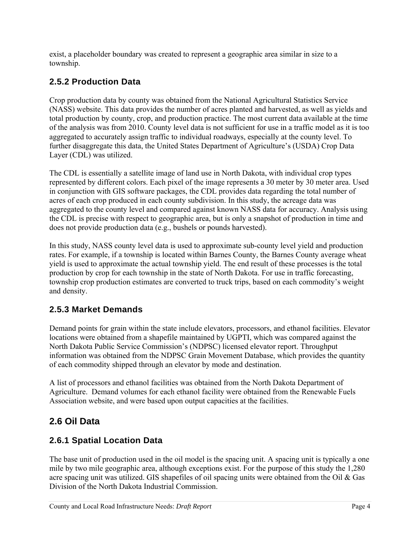exist, a placeholder boundary was created to represent a geographic area similar in size to a township.

### **2.5.2 Production Data**

Crop production data by county was obtained from the National Agricultural Statistics Service (NASS) website. This data provides the number of acres planted and harvested, as well as yields and total production by county, crop, and production practice. The most current data available at the time of the analysis was from 2010. County level data is not sufficient for use in a traffic model as it is too aggregated to accurately assign traffic to individual roadways, especially at the county level. To further disaggregate this data, the United States Department of Agriculture's (USDA) Crop Data Layer (CDL) was utilized.

The CDL is essentially a satellite image of land use in North Dakota, with individual crop types represented by different colors. Each pixel of the image represents a 30 meter by 30 meter area. Used in conjunction with GIS software packages, the CDL provides data regarding the total number of acres of each crop produced in each county subdivision. In this study, the acreage data was aggregated to the county level and compared against known NASS data for accuracy. Analysis using the CDL is precise with respect to geographic area, but is only a snapshot of production in time and does not provide production data (e.g., bushels or pounds harvested).

In this study, NASS county level data is used to approximate sub-county level yield and production rates. For example, if a township is located within Barnes County, the Barnes County average wheat yield is used to approximate the actual township yield. The end result of these processes is the total production by crop for each township in the state of North Dakota. For use in traffic forecasting, township crop production estimates are converted to truck trips, based on each commodity's weight and density.

#### **2.5.3 Market Demands**

Demand points for grain within the state include elevators, processors, and ethanol facilities. Elevator locations were obtained from a shapefile maintained by UGPTI, which was compared against the North Dakota Public Service Commission's (NDPSC) licensed elevator report. Throughput information was obtained from the NDPSC Grain Movement Database, which provides the quantity of each commodity shipped through an elevator by mode and destination.

A list of processors and ethanol facilities was obtained from the North Dakota Department of Agriculture. Demand volumes for each ethanol facility were obtained from the Renewable Fuels Association website, and were based upon output capacities at the facilities.

## **2.6 Oil Data**

#### **2.6.1 Spatial Location Data**

The base unit of production used in the oil model is the spacing unit. A spacing unit is typically a one mile by two mile geographic area, although exceptions exist. For the purpose of this study the 1,280 acre spacing unit was utilized. GIS shapefiles of oil spacing units were obtained from the Oil & Gas Division of the North Dakota Industrial Commission.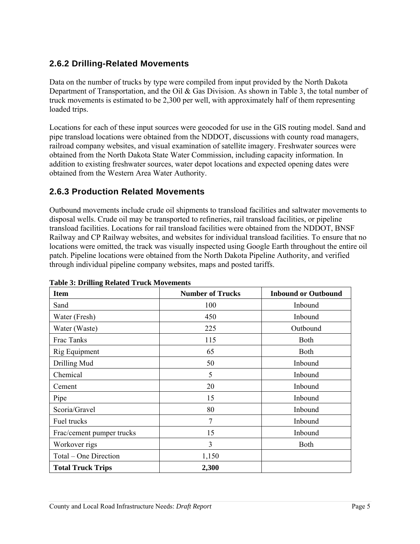### **2.6.2 Drilling-Related Movements**

Data on the number of trucks by type were compiled from input provided by the North Dakota Department of Transportation, and the Oil & Gas Division. As shown in Table 3, the total number of truck movements is estimated to be 2,300 per well, with approximately half of them representing loaded trips.

Locations for each of these input sources were geocoded for use in the GIS routing model. Sand and pipe transload locations were obtained from the NDDOT, discussions with county road managers, railroad company websites, and visual examination of satellite imagery. Freshwater sources were obtained from the North Dakota State Water Commission, including capacity information. In addition to existing freshwater sources, water depot locations and expected opening dates were obtained from the Western Area Water Authority.

#### **2.6.3 Production Related Movements**

Outbound movements include crude oil shipments to transload facilities and saltwater movements to disposal wells. Crude oil may be transported to refineries, rail transload facilities, or pipeline transload facilities. Locations for rail transload facilities were obtained from the NDDOT, BNSF Railway and CP Railway websites, and websites for individual transload facilities. To ensure that no locations were omitted, the track was visually inspected using Google Earth throughout the entire oil patch. Pipeline locations were obtained from the North Dakota Pipeline Authority, and verified through individual pipeline company websites, maps and posted tariffs.

| <b>Item</b>               | <b>Number of Trucks</b> | <b>Inbound or Outbound</b> |
|---------------------------|-------------------------|----------------------------|
| Sand                      | 100                     | Inbound                    |
| Water (Fresh)             | 450                     | Inbound                    |
| Water (Waste)             | 225                     | Outbound                   |
| Frac Tanks                | 115                     | <b>Both</b>                |
| Rig Equipment             | 65                      | Both                       |
| Drilling Mud              | 50                      | Inbound                    |
| Chemical                  | 5                       | Inbound                    |
| Cement                    | 20                      | Inbound                    |
| Pipe                      | 15                      | Inbound                    |
| Scoria/Gravel             | 80                      | Inbound                    |
| Fuel trucks               | 7                       | Inbound                    |
| Frac/cement pumper trucks | 15                      | Inbound                    |
| Workover rigs             | 3                       | <b>B</b> oth               |
| Total – One Direction     | 1,150                   |                            |
| <b>Total Truck Trips</b>  | 2,300                   |                            |

#### **Table 3: Drilling Related Truck Movements**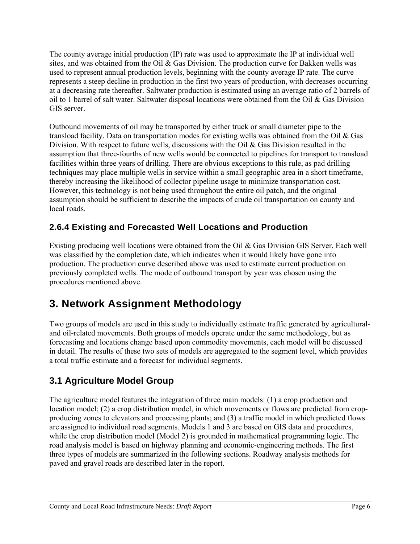The county average initial production (IP) rate was used to approximate the IP at individual well sites, and was obtained from the Oil  $\&$  Gas Division. The production curve for Bakken wells was used to represent annual production levels, beginning with the county average IP rate. The curve represents a steep decline in production in the first two years of production, with decreases occurring at a decreasing rate thereafter. Saltwater production is estimated using an average ratio of 2 barrels of oil to 1 barrel of salt water. Saltwater disposal locations were obtained from the Oil & Gas Division GIS server.

Outbound movements of oil may be transported by either truck or small diameter pipe to the transload facility. Data on transportation modes for existing wells was obtained from the Oil & Gas Division. With respect to future wells, discussions with the Oil  $\&$  Gas Division resulted in the assumption that three-fourths of new wells would be connected to pipelines for transport to transload facilities within three years of drilling. There are obvious exceptions to this rule, as pad drilling techniques may place multiple wells in service within a small geographic area in a short timeframe, thereby increasing the likelihood of collector pipeline usage to minimize transportation cost. However, this technology is not being used throughout the entire oil patch, and the original assumption should be sufficient to describe the impacts of crude oil transportation on county and local roads.

## **2.6.4 Existing and Forecasted Well Locations and Production**

Existing producing well locations were obtained from the Oil & Gas Division GIS Server. Each well was classified by the completion date, which indicates when it would likely have gone into production. The production curve described above was used to estimate current production on previously completed wells. The mode of outbound transport by year was chosen using the procedures mentioned above.

# **3. Network Assignment Methodology**

Two groups of models are used in this study to individually estimate traffic generated by agriculturaland oil-related movements. Both groups of models operate under the same methodology, but as forecasting and locations change based upon commodity movements, each model will be discussed in detail. The results of these two sets of models are aggregated to the segment level, which provides a total traffic estimate and a forecast for individual segments.

## **3.1 Agriculture Model Group**

The agriculture model features the integration of three main models: (1) a crop production and location model; (2) a crop distribution model, in which movements or flows are predicted from cropproducing zones to elevators and processing plants; and (3) a traffic model in which predicted flows are assigned to individual road segments. Models 1 and 3 are based on GIS data and procedures, while the crop distribution model (Model 2) is grounded in mathematical programming logic. The road analysis model is based on highway planning and economic-engineering methods. The first three types of models are summarized in the following sections. Roadway analysis methods for paved and gravel roads are described later in the report.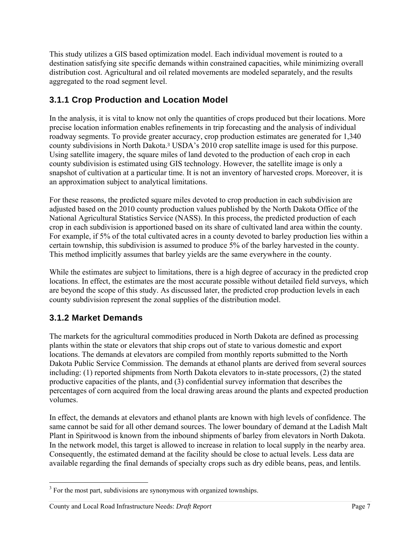This study utilizes a GIS based optimization model. Each individual movement is routed to a destination satisfying site specific demands within constrained capacities, while minimizing overall distribution cost. Agricultural and oil related movements are modeled separately, and the results aggregated to the road segment level.

### **3.1.1 Crop Production and Location Model**

In the analysis, it is vital to know not only the quantities of crops produced but their locations. More precise location information enables refinements in trip forecasting and the analysis of individual roadway segments. To provide greater accuracy, crop production estimates are generated for 1,340 county subdivisions in North Dakota.3 USDA's 2010 crop satellite image is used for this purpose. Using satellite imagery, the square miles of land devoted to the production of each crop in each county subdivision is estimated using GIS technology. However, the satellite image is only a snapshot of cultivation at a particular time. It is not an inventory of harvested crops. Moreover, it is an approximation subject to analytical limitations.

For these reasons, the predicted square miles devoted to crop production in each subdivision are adjusted based on the 2010 county production values published by the North Dakota Office of the National Agricultural Statistics Service (NASS). In this process, the predicted production of each crop in each subdivision is apportioned based on its share of cultivated land area within the county. For example, if 5% of the total cultivated acres in a county devoted to barley production lies within a certain township, this subdivision is assumed to produce 5% of the barley harvested in the county. This method implicitly assumes that barley yields are the same everywhere in the county.

While the estimates are subject to limitations, there is a high degree of accuracy in the predicted crop locations. In effect, the estimates are the most accurate possible without detailed field surveys, which are beyond the scope of this study. As discussed later, the predicted crop production levels in each county subdivision represent the zonal supplies of the distribution model.

## **3.1.2 Market Demands**

The markets for the agricultural commodities produced in North Dakota are defined as processing plants within the state or elevators that ship crops out of state to various domestic and export locations. The demands at elevators are compiled from monthly reports submitted to the North Dakota Public Service Commission. The demands at ethanol plants are derived from several sources including: (1) reported shipments from North Dakota elevators to in-state processors, (2) the stated productive capacities of the plants, and (3) confidential survey information that describes the percentages of corn acquired from the local drawing areas around the plants and expected production volumes.

In effect, the demands at elevators and ethanol plants are known with high levels of confidence. The same cannot be said for all other demand sources. The lower boundary of demand at the Ladish Malt Plant in Spiritwood is known from the inbound shipments of barley from elevators in North Dakota. In the network model, this target is allowed to increase in relation to local supply in the nearby area. Consequently, the estimated demand at the facility should be close to actual levels. Less data are available regarding the final demands of specialty crops such as dry edible beans, peas, and lentils.

l  $3<sup>3</sup>$  For the most part, subdivisions are synonymous with organized townships.

County and Local Road Infrastructure Needs: *Draft Report* Page 7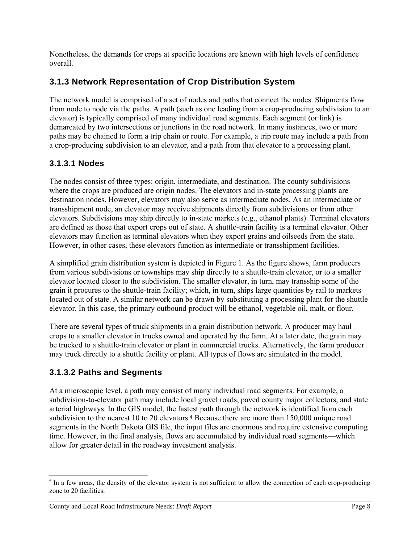Nonetheless, the demands for crops at specific locations are known with high levels of confidence overall.

### **3.1.3 Network Representation of Crop Distribution System**

The network model is comprised of a set of nodes and paths that connect the nodes. Shipments flow from node to node via the paths. A path (such as one leading from a crop-producing subdivision to an elevator) is typically comprised of many individual road segments. Each segment (or link) is demarcated by two intersections or junctions in the road network. In many instances, two or more paths may be chained to form a trip chain or route. For example, a trip route may include a path from a crop-producing subdivision to an elevator, and a path from that elevator to a processing plant.

#### **3.1.3.1 Nodes**

The nodes consist of three types: origin, intermediate, and destination. The county subdivisions where the crops are produced are origin nodes. The elevators and in-state processing plants are destination nodes. However, elevators may also serve as intermediate nodes. As an intermediate or transshipment node, an elevator may receive shipments directly from subdivisions or from other elevators. Subdivisions may ship directly to in-state markets (e.g., ethanol plants). Terminal elevators are defined as those that export crops out of state. A shuttle-train facility is a terminal elevator. Other elevators may function as terminal elevators when they export grains and oilseeds from the state. However, in other cases, these elevators function as intermediate or transshipment facilities.

A simplified grain distribution system is depicted in Figure 1. As the figure shows, farm producers from various subdivisions or townships may ship directly to a shuttle-train elevator, or to a smaller elevator located closer to the subdivision. The smaller elevator, in turn, may transship some of the grain it procures to the shuttle-train facility; which, in turn, ships large quantities by rail to markets located out of state. A similar network can be drawn by substituting a processing plant for the shuttle elevator. In this case, the primary outbound product will be ethanol, vegetable oil, malt, or flour.

There are several types of truck shipments in a grain distribution network. A producer may haul crops to a smaller elevator in trucks owned and operated by the farm. At a later date, the grain may be trucked to a shuttle-train elevator or plant in commercial trucks. Alternatively, the farm producer may truck directly to a shuttle facility or plant. All types of flows are simulated in the model.

#### **3.1.3.2 Paths and Segments**

At a microscopic level, a path may consist of many individual road segments. For example, a subdivision-to-elevator path may include local gravel roads, paved county major collectors, and state arterial highways. In the GIS model, the fastest path through the network is identified from each subdivision to the nearest 10 to 20 elevators.<sup>4</sup> Because there are more than 150,000 unique road segments in the North Dakota GIS file, the input files are enormous and require extensive computing time. However, in the final analysis, flows are accumulated by individual road segments—which allow for greater detail in the roadway investment analysis.

<sup>&</sup>lt;sup>4</sup> In a few areas, the density of the elevator system is not sufficient to allow the connection of each crop-producing zone to 20 facilities.

County and Local Road Infrastructure Needs: *Draft Report* Page 8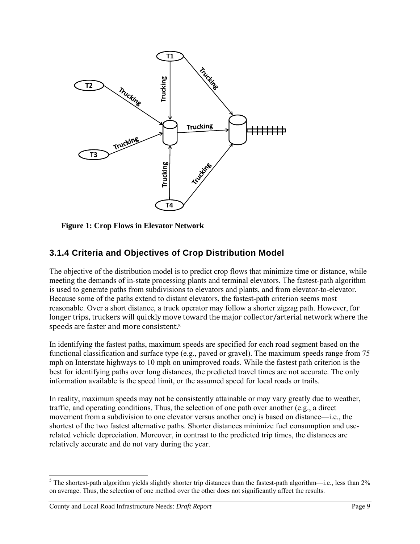

 **Figure 1: Crop Flows in Elevator Network** 

### **3.1.4 Criteria and Objectives of Crop Distribution Model**

The objective of the distribution model is to predict crop flows that minimize time or distance, while meeting the demands of in-state processing plants and terminal elevators. The fastest-path algorithm is used to generate paths from subdivisions to elevators and plants, and from elevator-to-elevator. Because some of the paths extend to distant elevators, the fastest-path criterion seems most reasonable. Over a short distance, a truck operator may follow a shorter zigzag path. However, for longer trips, truckers will quickly move toward the major collector/arterial network where the speeds are faster and more consistent.<sup>5</sup>

In identifying the fastest paths, maximum speeds are specified for each road segment based on the functional classification and surface type (e.g., paved or gravel). The maximum speeds range from 75 mph on Interstate highways to 10 mph on unimproved roads. While the fastest path criterion is the best for identifying paths over long distances, the predicted travel times are not accurate. The only information available is the speed limit, or the assumed speed for local roads or trails.

In reality, maximum speeds may not be consistently attainable or may vary greatly due to weather, traffic, and operating conditions. Thus, the selection of one path over another (e.g., a direct movement from a subdivision to one elevator versus another one) is based on distance—i.e., the shortest of the two fastest alternative paths. Shorter distances minimize fuel consumption and userelated vehicle depreciation. Moreover, in contrast to the predicted trip times, the distances are relatively accurate and do not vary during the year.

<sup>&</sup>lt;sup>5</sup> The shortest-path algorithm yields slightly shorter trip distances than the fastest-path algorithm—i.e., less than  $2\%$ on average. Thus, the selection of one method over the other does not significantly affect the results.

County and Local Road Infrastructure Needs: *Draft Report* Page 9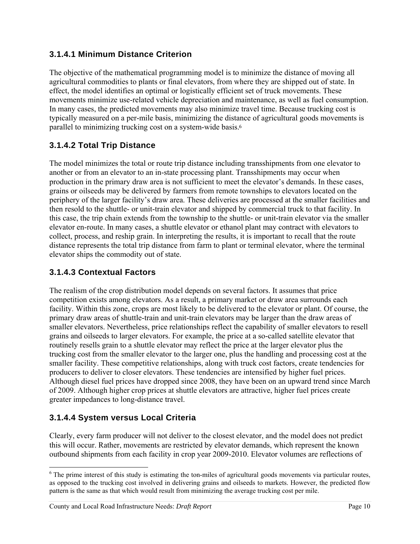#### **3.1.4.1 Minimum Distance Criterion**

The objective of the mathematical programming model is to minimize the distance of moving all agricultural commodities to plants or final elevators, from where they are shipped out of state. In effect, the model identifies an optimal or logistically efficient set of truck movements. These movements minimize use-related vehicle depreciation and maintenance, as well as fuel consumption. In many cases, the predicted movements may also minimize travel time. Because trucking cost is typically measured on a per-mile basis, minimizing the distance of agricultural goods movements is parallel to minimizing trucking cost on a system-wide basis.<sup>6</sup>

#### **3.1.4.2 Total Trip Distance**

The model minimizes the total or route trip distance including transshipments from one elevator to another or from an elevator to an in-state processing plant. Transshipments may occur when production in the primary draw area is not sufficient to meet the elevator's demands. In these cases, grains or oilseeds may be delivered by farmers from remote townships to elevators located on the periphery of the larger facility's draw area. These deliveries are processed at the smaller facilities and then resold to the shuttle- or unit-train elevator and shipped by commercial truck to that facility. In this case, the trip chain extends from the township to the shuttle- or unit-train elevator via the smaller elevator en-route. In many cases, a shuttle elevator or ethanol plant may contract with elevators to collect, process, and reship grain. In interpreting the results, it is important to recall that the route distance represents the total trip distance from farm to plant or terminal elevator, where the terminal elevator ships the commodity out of state.

#### **3.1.4.3 Contextual Factors**

The realism of the crop distribution model depends on several factors. It assumes that price competition exists among elevators. As a result, a primary market or draw area surrounds each facility. Within this zone, crops are most likely to be delivered to the elevator or plant. Of course, the primary draw areas of shuttle-train and unit-train elevators may be larger than the draw areas of smaller elevators. Nevertheless, price relationships reflect the capability of smaller elevators to resell grains and oilseeds to larger elevators. For example, the price at a so-called satellite elevator that routinely resells grain to a shuttle elevator may reflect the price at the larger elevator plus the trucking cost from the smaller elevator to the larger one, plus the handling and processing cost at the smaller facility. These competitive relationships, along with truck cost factors, create tendencies for producers to deliver to closer elevators. These tendencies are intensified by higher fuel prices. Although diesel fuel prices have dropped since 2008, they have been on an upward trend since March of 2009. Although higher crop prices at shuttle elevators are attractive, higher fuel prices create greater impedances to long-distance travel.

#### **3.1.4.4 System versus Local Criteria**

Clearly, every farm producer will not deliver to the closest elevator, and the model does not predict this will occur. Rather, movements are restricted by elevator demands, which represent the known outbound shipments from each facility in crop year 2009-2010. Elevator volumes are reflections of

  $6$  The prime interest of this study is estimating the ton-miles of agricultural goods movements via particular routes, as opposed to the trucking cost involved in delivering grains and oilseeds to markets. However, the predicted flow pattern is the same as that which would result from minimizing the average trucking cost per mile.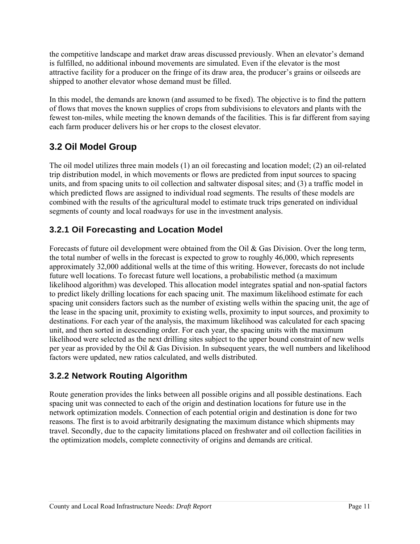the competitive landscape and market draw areas discussed previously. When an elevator's demand is fulfilled, no additional inbound movements are simulated. Even if the elevator is the most attractive facility for a producer on the fringe of its draw area, the producer's grains or oilseeds are shipped to another elevator whose demand must be filled.

In this model, the demands are known (and assumed to be fixed). The objective is to find the pattern of flows that moves the known supplies of crops from subdivisions to elevators and plants with the fewest ton-miles, while meeting the known demands of the facilities. This is far different from saying each farm producer delivers his or her crops to the closest elevator.

## **3.2 Oil Model Group**

The oil model utilizes three main models (1) an oil forecasting and location model; (2) an oil-related trip distribution model, in which movements or flows are predicted from input sources to spacing units, and from spacing units to oil collection and saltwater disposal sites; and (3) a traffic model in which predicted flows are assigned to individual road segments. The results of these models are combined with the results of the agricultural model to estimate truck trips generated on individual segments of county and local roadways for use in the investment analysis.

## **3.2.1 Oil Forecasting and Location Model**

Forecasts of future oil development were obtained from the Oil & Gas Division. Over the long term, the total number of wells in the forecast is expected to grow to roughly 46,000, which represents approximately 32,000 additional wells at the time of this writing. However, forecasts do not include future well locations. To forecast future well locations, a probabilistic method (a maximum likelihood algorithm) was developed. This allocation model integrates spatial and non-spatial factors to predict likely drilling locations for each spacing unit. The maximum likelihood estimate for each spacing unit considers factors such as the number of existing wells within the spacing unit, the age of the lease in the spacing unit, proximity to existing wells, proximity to input sources, and proximity to destinations. For each year of the analysis, the maximum likelihood was calculated for each spacing unit, and then sorted in descending order. For each year, the spacing units with the maximum likelihood were selected as the next drilling sites subject to the upper bound constraint of new wells per year as provided by the Oil & Gas Division. In subsequent years, the well numbers and likelihood factors were updated, new ratios calculated, and wells distributed.

## **3.2.2 Network Routing Algorithm**

Route generation provides the links between all possible origins and all possible destinations. Each spacing unit was connected to each of the origin and destination locations for future use in the network optimization models. Connection of each potential origin and destination is done for two reasons. The first is to avoid arbitrarily designating the maximum distance which shipments may travel. Secondly, due to the capacity limitations placed on freshwater and oil collection facilities in the optimization models, complete connectivity of origins and demands are critical.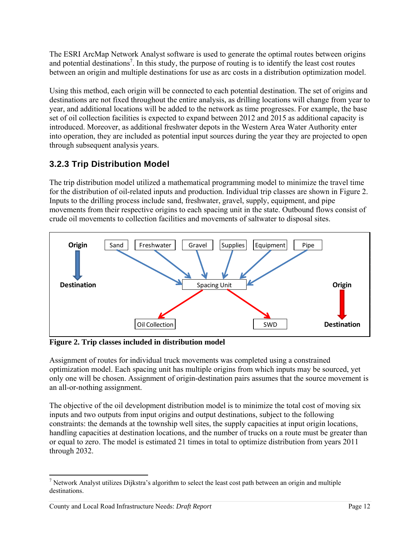The ESRI ArcMap Network Analyst software is used to generate the optimal routes between origins and potential destinations<sup>7</sup>. In this study, the purpose of routing is to identify the least cost routes between an origin and multiple destinations for use as arc costs in a distribution optimization model.

Using this method, each origin will be connected to each potential destination. The set of origins and destinations are not fixed throughout the entire analysis, as drilling locations will change from year to year, and additional locations will be added to the network as time progresses. For example, the base set of oil collection facilities is expected to expand between 2012 and 2015 as additional capacity is introduced. Moreover, as additional freshwater depots in the Western Area Water Authority enter into operation, they are included as potential input sources during the year they are projected to open through subsequent analysis years.

## **3.2.3 Trip Distribution Model**

The trip distribution model utilized a mathematical programming model to minimize the travel time for the distribution of oil-related inputs and production. Individual trip classes are shown in Figure 2. Inputs to the drilling process include sand, freshwater, gravel, supply, equipment, and pipe movements from their respective origins to each spacing unit in the state. Outbound flows consist of crude oil movements to collection facilities and movements of saltwater to disposal sites.



**Figure 2. Trip classes included in distribution model** 

Assignment of routes for individual truck movements was completed using a constrained optimization model. Each spacing unit has multiple origins from which inputs may be sourced, yet only one will be chosen. Assignment of origin-destination pairs assumes that the source movement is an all-or-nothing assignment.

The objective of the oil development distribution model is to minimize the total cost of moving six inputs and two outputs from input origins and output destinations, subject to the following constraints: the demands at the township well sites, the supply capacities at input origin locations, handling capacities at destination locations, and the number of trucks on a route must be greater than or equal to zero. The model is estimated 21 times in total to optimize distribution from years 2011 through 2032.

 <sup>7</sup> Network Analyst utilizes Dijkstra's algorithm to select the least cost path between an origin and multiple destinations.

County and Local Road Infrastructure Needs: *Draft Report* Page 12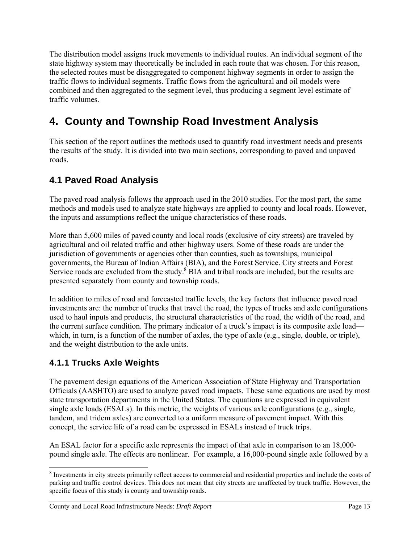The distribution model assigns truck movements to individual routes. An individual segment of the state highway system may theoretically be included in each route that was chosen. For this reason, the selected routes must be disaggregated to component highway segments in order to assign the traffic flows to individual segments. Traffic flows from the agricultural and oil models were combined and then aggregated to the segment level, thus producing a segment level estimate of traffic volumes.

# **4. County and Township Road Investment Analysis**

This section of the report outlines the methods used to quantify road investment needs and presents the results of the study. It is divided into two main sections, corresponding to paved and unpaved roads.

## **4.1 Paved Road Analysis**

The paved road analysis follows the approach used in the 2010 studies. For the most part, the same methods and models used to analyze state highways are applied to county and local roads. However, the inputs and assumptions reflect the unique characteristics of these roads.

More than 5,600 miles of paved county and local roads (exclusive of city streets) are traveled by agricultural and oil related traffic and other highway users. Some of these roads are under the jurisdiction of governments or agencies other than counties, such as townships, municipal governments, the Bureau of Indian Affairs (BIA), and the Forest Service. City streets and Forest Service roads are excluded from the study. $8$  BIA and tribal roads are included, but the results are presented separately from county and township roads.

In addition to miles of road and forecasted traffic levels, the key factors that influence paved road investments are: the number of trucks that travel the road, the types of trucks and axle configurations used to haul inputs and products, the structural characteristics of the road, the width of the road, and the current surface condition. The primary indicator of a truck's impact is its composite axle load which, in turn, is a function of the number of axles, the type of axle (e.g., single, double, or triple), and the weight distribution to the axle units.

## **4.1.1 Trucks Axle Weights**

The pavement design equations of the American Association of State Highway and Transportation Officials (AASHTO) are used to analyze paved road impacts. These same equations are used by most state transportation departments in the United States. The equations are expressed in equivalent single axle loads (ESALs). In this metric, the weights of various axle configurations (e.g., single, tandem, and tridem axles) are converted to a uniform measure of pavement impact. With this concept, the service life of a road can be expressed in ESALs instead of truck trips.

An ESAL factor for a specific axle represents the impact of that axle in comparison to an 18,000 pound single axle. The effects are nonlinear. For example, a 16,000-pound single axle followed by a

 <sup>8</sup> Investments in city streets primarily reflect access to commercial and residential properties and include the costs of parking and traffic control devices. This does not mean that city streets are unaffected by truck traffic. However, the specific focus of this study is county and township roads.

County and Local Road Infrastructure Needs: *Draft Report* Page 13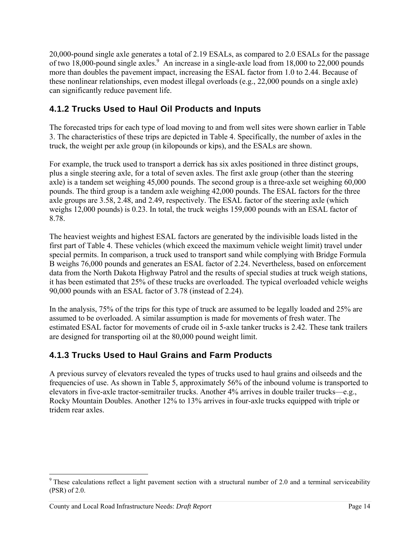20,000-pound single axle generates a total of 2.19 ESALs, as compared to 2.0 ESALs for the passage of two  $18,000$ -pound single axles.<sup>9</sup> An increase in a single-axle load from  $18,000$  to  $22,000$  pounds more than doubles the pavement impact, increasing the ESAL factor from 1.0 to 2.44. Because of these nonlinear relationships, even modest illegal overloads (e.g., 22,000 pounds on a single axle) can significantly reduce pavement life.

## **4.1.2 Trucks Used to Haul Oil Products and Inputs**

The forecasted trips for each type of load moving to and from well sites were shown earlier in Table 3. The characteristics of these trips are depicted in Table 4. Specifically, the number of axles in the truck, the weight per axle group (in kilopounds or kips), and the ESALs are shown.

For example, the truck used to transport a derrick has six axles positioned in three distinct groups, plus a single steering axle, for a total of seven axles. The first axle group (other than the steering axle) is a tandem set weighing 45,000 pounds. The second group is a three-axle set weighing 60,000 pounds. The third group is a tandem axle weighing 42,000 pounds. The ESAL factors for the three axle groups are 3.58, 2.48, and 2.49, respectively. The ESAL factor of the steering axle (which weighs 12,000 pounds) is 0.23. In total, the truck weighs 159,000 pounds with an ESAL factor of 8.78.

The heaviest weights and highest ESAL factors are generated by the indivisible loads listed in the first part of Table 4. These vehicles (which exceed the maximum vehicle weight limit) travel under special permits. In comparison, a truck used to transport sand while complying with Bridge Formula B weighs 76,000 pounds and generates an ESAL factor of 2.24. Nevertheless, based on enforcement data from the North Dakota Highway Patrol and the results of special studies at truck weigh stations, it has been estimated that 25% of these trucks are overloaded. The typical overloaded vehicle weighs 90,000 pounds with an ESAL factor of 3.78 (instead of 2.24).

In the analysis, 75% of the trips for this type of truck are assumed to be legally loaded and 25% are assumed to be overloaded. A similar assumption is made for movements of fresh water. The estimated ESAL factor for movements of crude oil in 5-axle tanker trucks is 2.42. These tank trailers are designed for transporting oil at the 80,000 pound weight limit.

## **4.1.3 Trucks Used to Haul Grains and Farm Products**

A previous survey of elevators revealed the types of trucks used to haul grains and oilseeds and the frequencies of use. As shown in Table 5, approximately 56% of the inbound volume is transported to elevators in five-axle tractor-semitrailer trucks. Another 4% arrives in double trailer trucks—e.g., Rocky Mountain Doubles. Another 12% to 13% arrives in four-axle trucks equipped with triple or tridem rear axles.

 $9$  These calculations reflect a light pavement section with a structural number of 2.0 and a terminal serviceability (PSR) of 2.0.

County and Local Road Infrastructure Needs: *Draft Report* Page 14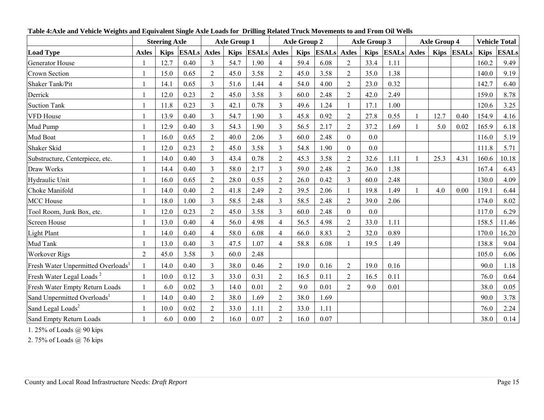|                                                |              | <b>Steering Axle</b> |              |                | <b>Axle Group 1</b> |                    |                | <b>Axle Group 2</b> |                    |                | <b>Axle Group 3</b> |                  | <b>Axle Group 4</b> |            |             | <b>Vehicle Total</b> |
|------------------------------------------------|--------------|----------------------|--------------|----------------|---------------------|--------------------|----------------|---------------------|--------------------|----------------|---------------------|------------------|---------------------|------------|-------------|----------------------|
| <b>Load Type</b>                               | <b>Axles</b> | <b>Kips</b>          | <b>ESALs</b> | <b>Axles</b>   | <b>Kips</b>         | <b>ESALs</b> Axles |                | <b>Kips</b>         | <b>ESALs</b> Axles |                |                     | Kips ESALs Axles |                     | Kips ESALs | <b>Kips</b> | <b>ESALs</b>         |
| <b>Generator House</b>                         |              | 12.7                 | 0.40         | $\overline{3}$ | 54.7                | 1.90               | $\overline{4}$ | 59.4                | 6.08               | $\overline{2}$ | 33.4                | 1.11             |                     |            | 160.2       | 9.49                 |
| <b>Crown Section</b>                           |              | 15.0                 | 0.65         | $\overline{2}$ | 45.0                | 3.58               | $\overline{c}$ | 45.0                | 3.58               | $\overline{2}$ | 35.0                | 1.38             |                     |            | 140.0       | 9.19                 |
| <b>Shaker Tank/Pit</b>                         |              | 14.1                 | 0.65         | 3              | 51.6                | 1.44               | 4              | 54.0                | 4.00               | $\overline{2}$ | 23.0                | 0.32             |                     |            | 142.7       | 6.40                 |
| Derrick                                        |              | 12.0                 | 0.23         | $\overline{2}$ | 45.0                | 3.58               | 3              | 60.0                | 2.48               | $\overline{2}$ | 42.0                | 2.49             |                     |            | 159.0       | 8.78                 |
| <b>Suction Tank</b>                            |              | 11.8                 | 0.23         | $\overline{3}$ | 42.1                | 0.78               | $\overline{3}$ | 49.6                | 1.24               |                | 17.1                | 1.00             |                     |            | 120.6       | 3.25                 |
| <b>VFD House</b>                               |              | 13.9                 | 0.40         | $\overline{3}$ | 54.7                | 1.90               | $\overline{3}$ | 45.8                | 0.92               | $\overline{2}$ | 27.8                | 0.55             | 12.7                | 0.40       | 154.9       | 4.16                 |
| Mud Pump                                       |              | 12.9                 | 0.40         | $\overline{3}$ | 54.3                | 1.90               | 3              | 56.5                | 2.17               | $\overline{2}$ | 37.2                | 1.69             | 5.0                 | 0.02       | 165.9       | 6.18                 |
| Mud Boat                                       |              | 16.0                 | 0.65         | $\overline{2}$ | 40.0                | 2.06               | 3              | 60.0                | 2.48               | $\Omega$       | 0.0                 |                  |                     |            | 116.0       | 5.19                 |
| Shaker Skid                                    |              | 12.0                 | 0.23         | $\overline{2}$ | 45.0                | 3.58               | 3              | 54.8                | 1.90               | $\Omega$       | 0.0                 |                  |                     |            | 111.8       | 5.71                 |
| Substructure, Centerpiece, etc.                |              | 14.0                 | 0.40         | $\overline{3}$ | 43.4                | 0.78               | $\overline{2}$ | 45.3                | 3.58               | $\overline{2}$ | 32.6                | 1.11             | 25.3                | 4.31       | 160.6       | 10.18                |
| Draw Works                                     |              | 14.4                 | 0.40         | $\overline{3}$ | 58.0                | 2.17               | 3              | 59.0                | 2.48               | $\overline{2}$ | 36.0                | 1.38             |                     |            | 167.4       | 6.43                 |
| Hydraulic Unit                                 |              | 16.0                 | 0.65         | $\overline{2}$ | 28.0                | 0.55               | $\overline{2}$ | 26.0                | 0.42               | 3              | 60.0                | 2.48             |                     |            | 130.0       | 4.09                 |
| Choke Manifold                                 |              | 14.0                 | 0.40         | $\overline{2}$ | 41.8                | 2.49               | $\overline{2}$ | 39.5                | 2.06               |                | 19.8                | 1.49             | 4.0                 | 0.00       | 119.1       | 6.44                 |
| <b>MCC</b> House                               |              | 18.0                 | 1.00         | $\overline{3}$ | 58.5                | 2.48               | 3              | 58.5                | 2.48               | $\overline{2}$ | 39.0                | 2.06             |                     |            | 174.0       | 8.02                 |
| Tool Room, Junk Box, etc.                      |              | 12.0                 | 0.23         | $\overline{2}$ | 45.0                | 3.58               | 3              | 60.0                | 2.48               | $\Omega$       | 0.0                 |                  |                     |            | 117.0       | 6.29                 |
| Screen House                                   |              | 13.0                 | 0.40         | $\overline{4}$ | 56.0                | 4.98               | 4              | 56.5                | 4.98               | $\overline{2}$ | 33.0                | 1.11             |                     |            | 158.5       | 11.46                |
| <b>Light Plant</b>                             |              | 14.0                 | 0.40         | $\overline{4}$ | 58.0                | 6.08               | 4              | 66.0                | 8.83               | $\overline{2}$ | 32.0                | 0.89             |                     |            | 170.0       | 16.20                |
| Mud Tank                                       |              | 13.0                 | 0.40         | $\overline{3}$ | 47.5                | 1.07               | $\overline{4}$ | 58.8                | 6.08               |                | 19.5                | 1.49             |                     |            | 138.8       | 9.04                 |
| <b>Workover Rigs</b>                           | 2            | 45.0                 | 3.58         | $\overline{3}$ | 60.0                | 2.48               |                |                     |                    |                |                     |                  |                     |            | 105.0       | 6.06                 |
| Fresh Water Unpermitted Overloads <sup>1</sup> |              | 14.0                 | 0.40         | $\overline{3}$ | 38.0                | 0.46               | $\overline{2}$ | 19.0                | 0.16               | 2              | 19.0                | 0.16             |                     |            | 90.0        | 1.18                 |
| Fresh Water Legal Loads <sup>2</sup>           |              | 10.0                 | 0.12         | $\overline{3}$ | 33.0                | 0.31               | $\overline{2}$ | 16.5                | 0.11               | $\overline{2}$ | 16.5                | 0.11             |                     |            | 76.0        | 0.64                 |
| Fresh Water Empty Return Loads                 |              | 6.0                  | 0.02         | $\overline{3}$ | 14.0                | 0.01               | $\overline{2}$ | 9.0                 | 0.01               | $\overline{2}$ | 9.0                 | 0.01             |                     |            | 38.0        | 0.05                 |
| Sand Unpermitted Overloads <sup>1</sup>        |              | 14.0                 | 0.40         | $\overline{2}$ | 38.0                | 1.69               | $\overline{2}$ | 38.0                | 1.69               |                |                     |                  |                     |            | 90.0        | 3.78                 |
| Sand Legal Loads <sup>2</sup>                  |              | 10.0                 | 0.02         | $\overline{2}$ | 33.0                | 1.11               | $\overline{2}$ | 33.0                | 1.11               |                |                     |                  |                     |            | 76.0        | 2.24                 |
| Sand Empty Return Loads                        |              | 6.0                  | 0.00         | $\overline{2}$ | 16.0                | 0.07               | $\overline{2}$ | 16.0                | 0.07               |                |                     |                  |                     |            | 38.0        | 0.14                 |

**Table 4:Axle and Vehicle Weights and Equivalent Single Axle Loads for Drilling Related Truck Movements to and From Oil Wells** 

1. 25% of Loads @ 90 kips

2. 75% of Loads @ 76 kips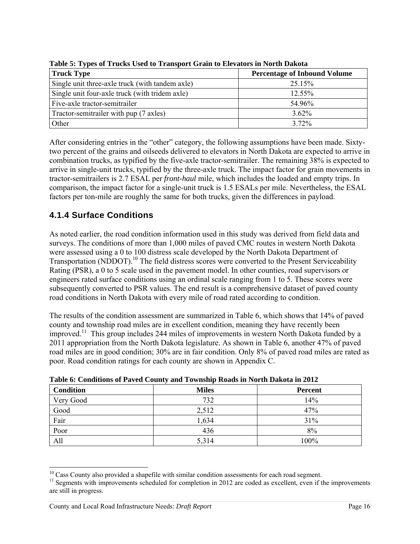| <b>Truck Type</b>                               | <b>Percentage of Inbound Volume</b> |
|-------------------------------------------------|-------------------------------------|
| Single unit three-axle truck (with tandem axle) | 25.15%                              |
| Single unit four-axle truck (with tridem axle)  | 12.55%                              |
| Five-axle tractor-semitrailer                   | 54.96%                              |
| Tractor-semitrailer with pup (7 axles)          | $3.62\%$                            |
| Other                                           | 3 72%                               |

**Table 5: Types of Trucks Used to Transport Grain to Elevators in North Dakota** 

After considering entries in the "other" category, the following assumptions have been made. Sixtytwo percent of the grains and oilseeds delivered to elevators in North Dakota are expected to arrive in combination trucks, as typified by the five-axle tractor-semitrailer. The remaining 38% is expected to arrive in single-unit trucks, typified by the three-axle truck. The impact factor for grain movements in tractor-semitrailers is 2.7 ESAL per *front-haul* mile, which includes the loaded and empty trips. In comparison, the impact factor for a single-unit truck is 1.5 ESALs per mile. Nevertheless, the ESAL factors per ton-mile are roughly the same for both trucks, given the differences in payload.

## **4.1.4 Surface Conditions**

As noted earlier, the road condition information used in this study was derived from field data and surveys. The conditions of more than 1,000 miles of paved CMC routes in western North Dakota were assessed using a 0 to 100 distress scale developed by the North Dakota Department of Transportation (NDDOT).<sup>10</sup> The field distress scores were converted to the Present Serviceability Rating (PSR), a 0 to 5 scale used in the pavement model. In other counties, road supervisors or engineers rated surface conditions using an ordinal scale ranging from 1 to 5. These scores were subsequently converted to PSR values. The end result is a comprehensive dataset of paved county road conditions in North Dakota with every mile of road rated according to condition.

The results of the condition assessment are summarized in Table 6, which shows that 14% of paved county and township road miles are in excellent condition, meaning they have recently been improved.11 This group includes 244 miles of improvements in western North Dakota funded by a 2011 appropriation from the North Dakota legislature. As shown in Table 6, another 47% of paved road miles are in good condition; 30% are in fair condition. Only 8% of paved road miles are rated as poor. Road condition ratings for each county are shown in Appendix C.

| <b>Condition</b> | <b>Miles</b> | <b>Percent</b> |
|------------------|--------------|----------------|
| Very Good        | 732          | 14%            |
| Good             | 2,512        | 47%            |
| Fair             | 1,634        | 31%            |
| Poor             | 436          | 8%             |
| All              | 5,314        | 100%           |

| Table 6: Conditions of Paved County and Township Roads in North Dakota in 2012 |  |  |  |  |
|--------------------------------------------------------------------------------|--|--|--|--|
|                                                                                |  |  |  |  |

 <sup>10</sup> Cass County also provided a shapefile with similar condition assessments for each road segment.

<sup>&</sup>lt;sup>11</sup> Segments with improvements scheduled for completion in 2012 are coded as excellent, even if the improvements are still in progress.

County and Local Road Infrastructure Needs: *Draft Report* Page 16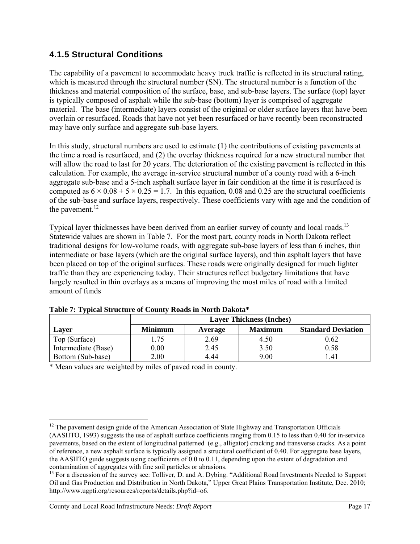#### **4.1.5 Structural Conditions**

The capability of a pavement to accommodate heavy truck traffic is reflected in its structural rating, which is measured through the structural number (SN). The structural number is a function of the thickness and material composition of the surface, base, and sub-base layers. The surface (top) layer is typically composed of asphalt while the sub-base (bottom) layer is comprised of aggregate material. The base (intermediate) layers consist of the original or older surface layers that have been overlain or resurfaced. Roads that have not yet been resurfaced or have recently been reconstructed may have only surface and aggregate sub-base layers.

In this study, structural numbers are used to estimate (1) the contributions of existing pavements at the time a road is resurfaced, and (2) the overlay thickness required for a new structural number that will allow the road to last for 20 years. The deterioration of the existing pavement is reflected in this calculation. For example, the average in-service structural number of a county road with a 6-inch aggregate sub-base and a 5-inch asphalt surface layer in fair condition at the time it is resurfaced is computed as  $6 \times 0.08 + 5 \times 0.25 = 1.7$ . In this equation, 0.08 and 0.25 are the structural coefficients of the sub-base and surface layers, respectively. These coefficients vary with age and the condition of the pavement. $^{12}$ 

Typical layer thicknesses have been derived from an earlier survey of county and local roads.<sup>13</sup> Statewide values are shown in Table 7. For the most part, county roads in North Dakota reflect traditional designs for low-volume roads, with aggregate sub-base layers of less than 6 inches, thin intermediate or base layers (which are the original surface layers), and thin asphalt layers that have been placed on top of the original surfaces. These roads were originally designed for much lighter traffic than they are experiencing today. Their structures reflect budgetary limitations that have largely resulted in thin overlays as a means of improving the most miles of road with a limited amount of funds

|                     | <b>Layer Thickness (Inches)</b> |         |                |                           |  |  |
|---------------------|---------------------------------|---------|----------------|---------------------------|--|--|
| <b>Laver</b>        | <b>Minimum</b>                  | Average | <b>Maximum</b> | <b>Standard Deviation</b> |  |  |
| Top (Surface)       | .75                             | 2.69    | 4.50           | 0.62                      |  |  |
| Intermediate (Base) | 0.00                            | 2.45    | 3.50           | 0.58                      |  |  |
| Bottom (Sub-base)   | 2.00                            | 4.44    | 9.00           | .41                       |  |  |

**Table 7: Typical Structure of County Roads in North Dakota\*** 

\* Mean values are weighted by miles of paved road in county.

 $12$  The pavement design guide of the American Association of State Highway and Transportation Officials (AASHTO, 1993) suggests the use of asphalt surface coefficients ranging from 0.15 to less than 0.40 for in-service pavements, based on the extent of longitudinal patterned (e.g., alligator) cracking and transverse cracks. As a point of reference, a new asphalt surface is typically assigned a structural coefficient of 0.40. For aggregate base layers, the AASHTO guide suggests using coefficients of 0.0 to 0.11, depending upon the extent of degradation and contamination of aggregates with fine soil particles or abrasions.

<sup>&</sup>lt;sup>13</sup> For a discussion of the survey see: Tolliver, D. and A. Dybing. "Additional Road Investments Needed to Support Oil and Gas Production and Distribution in North Dakota," Upper Great Plains Transportation Institute, Dec. 2010; http://www.ugpti.org/resources/reports/details.php?id=o6.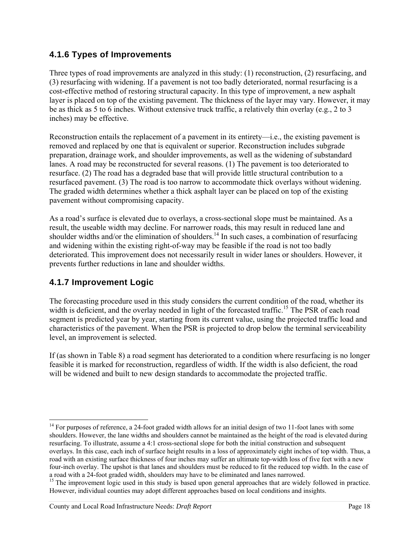#### **4.1.6 Types of Improvements**

Three types of road improvements are analyzed in this study: (1) reconstruction, (2) resurfacing, and (3) resurfacing with widening. If a pavement is not too badly deteriorated, normal resurfacing is a cost-effective method of restoring structural capacity. In this type of improvement, a new asphalt layer is placed on top of the existing pavement. The thickness of the layer may vary. However, it may be as thick as 5 to 6 inches. Without extensive truck traffic, a relatively thin overlay (e.g., 2 to 3 inches) may be effective.

Reconstruction entails the replacement of a pavement in its entirety—i.e., the existing pavement is removed and replaced by one that is equivalent or superior. Reconstruction includes subgrade preparation, drainage work, and shoulder improvements, as well as the widening of substandard lanes. A road may be reconstructed for several reasons. (1) The pavement is too deteriorated to resurface. (2) The road has a degraded base that will provide little structural contribution to a resurfaced pavement. (3) The road is too narrow to accommodate thick overlays without widening. The graded width determines whether a thick asphalt layer can be placed on top of the existing pavement without compromising capacity.

As a road's surface is elevated due to overlays, a cross-sectional slope must be maintained. As a result, the useable width may decline. For narrower roads, this may result in reduced lane and shoulder widths and/or the elimination of shoulders.<sup>14</sup> In such cases, a combination of resurfacing and widening within the existing right-of-way may be feasible if the road is not too badly deteriorated. This improvement does not necessarily result in wider lanes or shoulders. However, it prevents further reductions in lane and shoulder widths.

#### **4.1.7 Improvement Logic**

The forecasting procedure used in this study considers the current condition of the road, whether its width is deficient, and the overlay needed in light of the forecasted traffic.<sup>15</sup> The PSR of each road segment is predicted year by year, starting from its current value, using the projected traffic load and characteristics of the pavement. When the PSR is projected to drop below the terminal serviceability level, an improvement is selected.

If (as shown in Table 8) a road segment has deteriorated to a condition where resurfacing is no longer feasible it is marked for reconstruction, regardless of width. If the width is also deficient, the road will be widened and built to new design standards to accommodate the projected traffic.

 $14$  For purposes of reference, a 24-foot graded width allows for an initial design of two 11-foot lanes with some shoulders. However, the lane widths and shoulders cannot be maintained as the height of the road is elevated during resurfacing. To illustrate, assume a 4:1 cross-sectional slope for both the initial construction and subsequent overlays. In this case, each inch of surface height results in a loss of approximately eight inches of top width. Thus, a road with an existing surface thickness of four inches may suffer an ultimate top-width loss of five feet with a new four-inch overlay. The upshot is that lanes and shoulders must be reduced to fit the reduced top width. In the case of a road with a 24-foot graded width, shoulders may have to be eliminated and lanes narrowed.

<sup>&</sup>lt;sup>15</sup> The improvement logic used in this study is based upon general approaches that are widely followed in practice. However, individual counties may adopt different approaches based on local conditions and insights.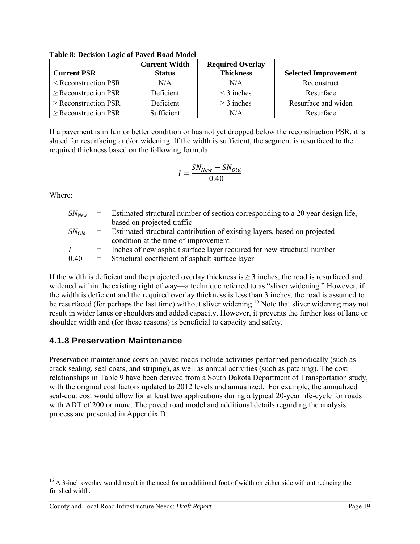| <b>Current PSR</b>        | <b>Current Width</b><br><b>Status</b> | <b>Required Overlay</b><br><b>Thickness</b> | <b>Selected Improvement</b> |
|---------------------------|---------------------------------------|---------------------------------------------|-----------------------------|
| $\leq$ Reconstruction PSR | N/A                                   | N/A                                         | Reconstruct                 |
| $\geq$ Reconstruction PSR | Deficient                             | $\leq$ 3 inches                             | Resurface                   |
| $\geq$ Reconstruction PSR | Deficient                             | $\geq$ 3 inches                             | Resurface and widen         |
| $\geq$ Reconstruction PSR | Sufficient                            | N/A                                         | Resurface                   |

**Table 8: Decision Logic of Paved Road Model** 

If a pavement is in fair or better condition or has not yet dropped below the reconstruction PSR, it is slated for resurfacing and/or widening. If the width is sufficient, the segment is resurfaced to the required thickness based on the following formula:

$$
I = \frac{SN_{New} - SN_{old}}{0.40}
$$

Where:

| $SN_{New}$  | $=$ $-$  | Estimated structural number of section corresponding to a 20 year design life,                                   |
|-------------|----------|------------------------------------------------------------------------------------------------------------------|
|             |          | based on projected traffic                                                                                       |
| $S N_{Old}$ | $\equiv$ | Estimated structural contribution of existing layers, based on projected<br>condition at the time of improvement |
| L           | $=$      | Inches of new asphalt surface layer required for new structural number                                           |
| 0.40        | $=$      | Structural coefficient of asphalt surface layer                                                                  |

If the width is deficient and the projected overlay thickness is  $>$  3 inches, the road is resurfaced and widened within the existing right of way—a technique referred to as "sliver widening." However, if the width is deficient and the required overlay thickness is less than 3 inches, the road is assumed to be resurfaced (for perhaps the last time) without sliver widening.<sup>16</sup> Note that sliver widening may not result in wider lanes or shoulders and added capacity. However, it prevents the further loss of lane or shoulder width and (for these reasons) is beneficial to capacity and safety.

#### **4.1.8 Preservation Maintenance**

Preservation maintenance costs on paved roads include activities performed periodically (such as crack sealing, seal coats, and striping), as well as annual activities (such as patching). The cost relationships in Table 9 have been derived from a South Dakota Department of Transportation study, with the original cost factors updated to 2012 levels and annualized. For example, the annualized seal-coat cost would allow for at least two applications during a typical 20-year life-cycle for roads with ADT of 200 or more. The paved road model and additional details regarding the analysis process are presented in Appendix D.

<sup>&</sup>lt;sup>16</sup> A 3-inch overlay would result in the need for an additional foot of width on either side without reducing the finished width.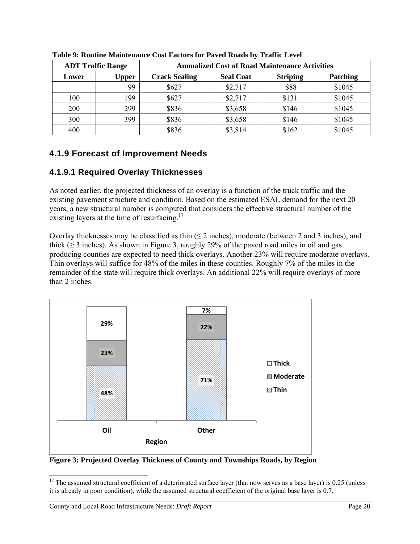|       | <b>ADT Traffic Range</b> | <b>Annualized Cost of Road Maintenance Activities</b> |                  |                 |          |  |
|-------|--------------------------|-------------------------------------------------------|------------------|-----------------|----------|--|
| Lower | <b>Upper</b>             | <b>Crack Sealing</b>                                  | <b>Seal Coat</b> | <b>Striping</b> | Patching |  |
|       | 99                       | \$627                                                 | \$2,717          | \$88            | \$1045   |  |
| 100   | 199                      | \$627                                                 | \$2,717          | \$131           | \$1045   |  |
| 200   | 299                      | \$836                                                 | \$3,658          | \$146           | \$1045   |  |
| 300   | 399                      | \$836                                                 | \$3,658          | \$146           | \$1045   |  |
| 400   |                          | \$836                                                 | \$3,814          | \$162           | \$1045   |  |

**Table 9: Routine Maintenance Cost Factors for Paved Roads by Traffic Level** 

#### **4.1.9 Forecast of Improvement Needs**

#### **4.1.9.1 Required Overlay Thicknesses**

As noted earlier, the projected thickness of an overlay is a function of the truck traffic and the existing pavement structure and condition. Based on the estimated ESAL demand for the next 20 years, a new structural number is computed that considers the effective structural number of the existing layers at the time of resurfacing.<sup>17</sup>

Overlay thicknesses may be classified as thin  $(\leq 2$  inches), moderate (between 2 and 3 inches), and thick ( $\geq$  3 inches). As shown in Figure 3, roughly 29% of the paved road miles in oil and gas producing counties are expected to need thick overlays. Another 23% will require moderate overlays. Thin overlays will suffice for 48% of the miles in these counties. Roughly 7% of the miles in the remainder of the state will require thick overlays. An additional 22% will require overlays of more than 2 inches.



**Figure 3: Projected Overlay Thickness of County and Townships Roads, by Region** 

 $17$  The assumed structural coefficient of a deteriorated surface layer (that now serves as a base layer) is 0.25 (unless it is already in poor condition), while the assumed structural coefficient of the original base layer is 0.7.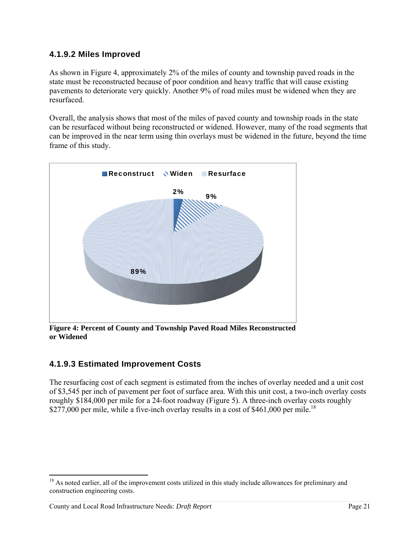#### **4.1.9.2 Miles Improved**

As shown in Figure 4, approximately 2% of the miles of county and township paved roads in the state must be reconstructed because of poor condition and heavy traffic that will cause existing pavements to deteriorate very quickly. Another 9% of road miles must be widened when they are resurfaced.

Overall, the analysis shows that most of the miles of paved county and township roads in the state can be resurfaced without being reconstructed or widened. However, many of the road segments that can be improved in the near term using thin overlays must be widened in the future, beyond the time frame of this study.



**Figure 4: Percent of County and Township Paved Road Miles Reconstructed or Widened** 

#### **4.1.9.3 Estimated Improvement Costs**

The resurfacing cost of each segment is estimated from the inches of overlay needed and a unit cost of \$3,545 per inch of pavement per foot of surface area. With this unit cost, a two-inch overlay costs roughly \$184,000 per mile for a 24-foot roadway (Figure 5). A three-inch overlay costs roughly \$277,000 per mile, while a five-inch overlay results in a cost of \$461,000 per mile.<sup>18</sup>

-

<sup>&</sup>lt;sup>18</sup> As noted earlier, all of the improvement costs utilized in this study include allowances for preliminary and construction engineering costs.

County and Local Road Infrastructure Needs: *Draft Report* Page 21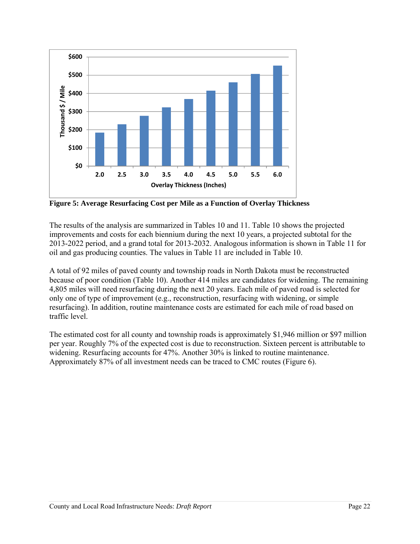

**Figure 5: Average Resurfacing Cost per Mile as a Function of Overlay Thickness** 

The results of the analysis are summarized in Tables 10 and 11. Table 10 shows the projected improvements and costs for each biennium during the next 10 years, a projected subtotal for the 2013-2022 period, and a grand total for 2013-2032. Analogous information is shown in Table 11 for oil and gas producing counties. The values in Table 11 are included in Table 10.

A total of 92 miles of paved county and township roads in North Dakota must be reconstructed because of poor condition (Table 10). Another 414 miles are candidates for widening. The remaining 4,805 miles will need resurfacing during the next 20 years. Each mile of paved road is selected for only one of type of improvement (e.g., reconstruction, resurfacing with widening, or simple resurfacing). In addition, routine maintenance costs are estimated for each mile of road based on traffic level.

The estimated cost for all county and township roads is approximately \$1,946 million or \$97 million per year. Roughly 7% of the expected cost is due to reconstruction. Sixteen percent is attributable to widening. Resurfacing accounts for 47%. Another 30% is linked to routine maintenance. Approximately 87% of all investment needs can be traced to CMC routes (Figure 6).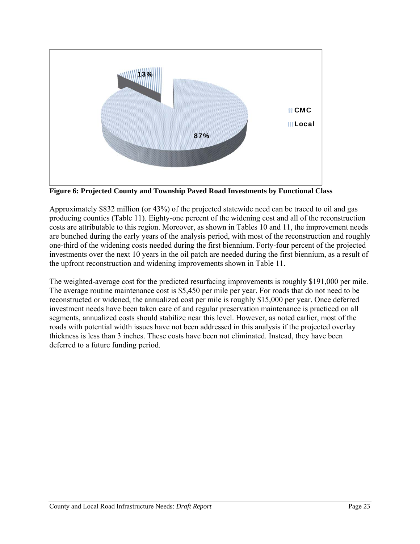

**Figure 6: Projected County and Township Paved Road Investments by Functional Class** 

Approximately \$832 million (or 43%) of the projected statewide need can be traced to oil and gas producing counties (Table 11). Eighty-one percent of the widening cost and all of the reconstruction costs are attributable to this region. Moreover, as shown in Tables 10 and 11, the improvement needs are bunched during the early years of the analysis period, with most of the reconstruction and roughly one-third of the widening costs needed during the first biennium. Forty-four percent of the projected investments over the next 10 years in the oil patch are needed during the first biennium, as a result of the upfront reconstruction and widening improvements shown in Table 11.

The weighted-average cost for the predicted resurfacing improvements is roughly \$191,000 per mile. The average routine maintenance cost is \$5,450 per mile per year. For roads that do not need to be reconstructed or widened, the annualized cost per mile is roughly \$15,000 per year. Once deferred investment needs have been taken care of and regular preservation maintenance is practiced on all segments, annualized costs should stabilize near this level. However, as noted earlier, most of the roads with potential width issues have not been addressed in this analysis if the projected overlay thickness is less than 3 inches. These costs have been not eliminated. Instead, they have been deferred to a future funding period.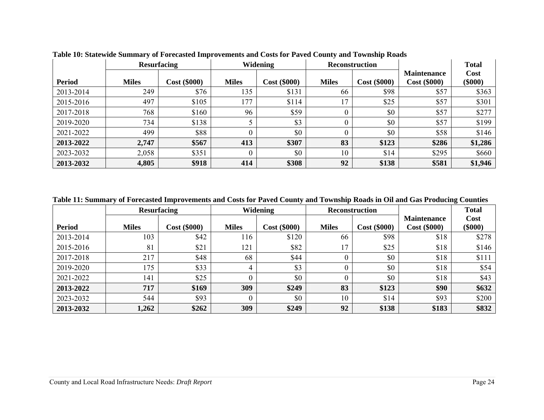|               |              | <b>Resurfacing</b> |              | <b>Widening</b>     | <b>Reconstruction</b> |                     |                                 | <b>Total</b>      |
|---------------|--------------|--------------------|--------------|---------------------|-----------------------|---------------------|---------------------------------|-------------------|
| <b>Period</b> | <b>Miles</b> | $Cost (\$000)$     | <b>Miles</b> | <b>Cost (\$000)</b> | <b>Miles</b>          | <b>Cost (\$000)</b> | <b>Maintenance</b><br>Cost(000) | Cost<br>$(\$000)$ |
| 2013-2014     | 249          | \$76               | 135          | \$131               | 66                    | \$98                | \$57                            | \$363             |
| 2015-2016     | 497          | \$105              | 177          | \$114               | 17                    | \$25                | \$57                            | \$301             |
| 2017-2018     | 768          | \$160              | 96           | \$59                |                       | \$0                 | \$57                            | \$277             |
| 2019-2020     | 734          | \$138              |              | \$3                 |                       | \$0                 | \$57                            | \$199             |
| 2021-2022     | 499          | \$88               | 0            | \$0                 | 0                     | \$0                 | \$58                            | \$146             |
| 2013-2022     | 2,747        | \$567              | 413          | \$307               | 83                    | \$123               | \$286                           | \$1,286           |
| 2023-2032     | 2,058        | \$351              | $\theta$     | \$0                 | 10                    | \$14                | \$295                           | \$660             |
| 2013-2032     | 4,805        | \$918              | 414          | \$308               | 92                    | \$138               | \$581                           | \$1,946           |

**Table 10: Statewide Summary of Forecasted Improvements and Costs for Paved County and Township Roads** 

**Table 11: Summary of Forecasted Improvements and Costs for Paved County and Township Roads in Oil and Gas Producing Counties** 

|               |              | <b>Resurfacing</b> |              | Widening     | <b>Reconstruction</b> |                |                                    | <b>Total</b>      |
|---------------|--------------|--------------------|--------------|--------------|-----------------------|----------------|------------------------------------|-------------------|
| <b>Period</b> | <b>Miles</b> | $Cost (\$000)$     | <b>Miles</b> | Cost (\$000) | <b>Miles</b>          | $Cost (\$000)$ | <b>Maintenance</b><br>Cost (\$000) | Cost<br>$(\$000)$ |
| 2013-2014     | 103          | \$42               | 116          | \$120        | 66                    | \$98           | \$18                               | \$278             |
| 2015-2016     | 81           | \$21               | 121          | \$82         | 17                    | \$25           | \$18                               | \$146             |
| 2017-2018     | 217          | \$48               | 68           | \$44         |                       | \$0            | \$18                               | \$111             |
| 2019-2020     | 175          | \$33               | 4            | \$3          |                       | \$0            | \$18                               | \$54              |
| 2021-2022     | 141          | \$25               |              | \$0          |                       | \$0            | \$18                               | \$43              |
| 2013-2022     | 717          | \$169              | 309          | \$249        | 83                    | \$123          | \$90                               | \$632             |
| 2023-2032     | 544          | \$93               |              | \$0          | 10                    | \$14           | \$93                               | \$200             |
| 2013-2032     | 1,262        | \$262              | 309          | \$249        | 92                    | \$138          | \$183                              | \$832             |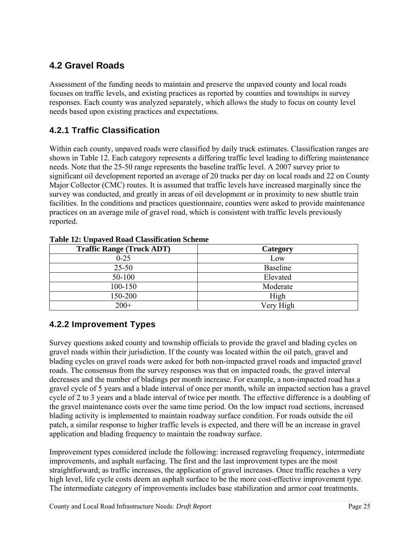## **4.2 Gravel Roads**

Assessment of the funding needs to maintain and preserve the unpaved county and local roads focuses on traffic levels, and existing practices as reported by counties and townships in survey responses. Each county was analyzed separately, which allows the study to focus on county level needs based upon existing practices and expectations.

### **4.2.1 Traffic Classification**

Within each county, unpaved roads were classified by daily truck estimates. Classification ranges are shown in Table 12. Each category represents a differing traffic level leading to differing maintenance needs. Note that the 25-50 range represents the baseline traffic level. A 2007 survey prior to significant oil development reported an average of 20 trucks per day on local roads and 22 on County Major Collector (CMC) routes. It is assumed that traffic levels have increased marginally since the survey was conducted, and greatly in areas of oil development or in proximity to new shuttle train facilities. In the conditions and practices questionnaire, counties were asked to provide maintenance practices on an average mile of gravel road, which is consistent with traffic levels previously reported.

| <b>Traffic Range (Truck ADT)</b> | Category  |
|----------------------------------|-----------|
| $0 - 25$                         | Low       |
| $25 - 50$                        | Baseline  |
| 50-100                           | Elevated  |
| 100-150                          | Moderate  |
| 150-200                          | High      |
| $200+$                           | Very High |

**Table 12: Unpaved Road Classification Scheme** 

## **4.2.2 Improvement Types**

Survey questions asked county and township officials to provide the gravel and blading cycles on gravel roads within their jurisdiction. If the county was located within the oil patch, gravel and blading cycles on gravel roads were asked for both non-impacted gravel roads and impacted gravel roads. The consensus from the survey responses was that on impacted roads, the gravel interval decreases and the number of bladings per month increase. For example, a non-impacted road has a gravel cycle of 5 years and a blade interval of once per month, while an impacted section has a gravel cycle of 2 to 3 years and a blade interval of twice per month. The effective difference is a doubling of the gravel maintenance costs over the same time period. On the low impact road sections, increased blading activity is implemented to maintain roadway surface condition. For roads outside the oil patch, a similar response to higher traffic levels is expected, and there will be an increase in gravel application and blading frequency to maintain the roadway surface.

Improvement types considered include the following: increased regraveling frequency, intermediate improvements, and asphalt surfacing. The first and the last improvement types are the most straightforward; as traffic increases, the application of gravel increases. Once traffic reaches a very high level, life cycle costs deem an asphalt surface to be the more cost-effective improvement type. The intermediate category of improvements includes base stabilization and armor coat treatments.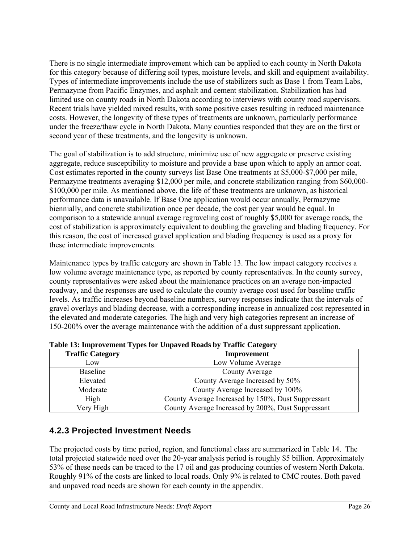There is no single intermediate improvement which can be applied to each county in North Dakota for this category because of differing soil types, moisture levels, and skill and equipment availability. Types of intermediate improvements include the use of stabilizers such as Base 1 from Team Labs, Permazyme from Pacific Enzymes, and asphalt and cement stabilization. Stabilization has had limited use on county roads in North Dakota according to interviews with county road supervisors. Recent trials have yielded mixed results, with some positive cases resulting in reduced maintenance costs. However, the longevity of these types of treatments are unknown, particularly performance under the freeze/thaw cycle in North Dakota. Many counties responded that they are on the first or second year of these treatments, and the longevity is unknown.

The goal of stabilization is to add structure, minimize use of new aggregate or preserve existing aggregate, reduce susceptibility to moisture and provide a base upon which to apply an armor coat. Cost estimates reported in the county surveys list Base One treatments at \$5,000-\$7,000 per mile, Permazyme treatments averaging \$12,000 per mile, and concrete stabilization ranging from \$60,000- \$100,000 per mile. As mentioned above, the life of these treatments are unknown, as historical performance data is unavailable. If Base One application would occur annually, Permazyme biennially, and concrete stabilization once per decade, the cost per year would be equal. In comparison to a statewide annual average regraveling cost of roughly \$5,000 for average roads, the cost of stabilization is approximately equivalent to doubling the graveling and blading frequency. For this reason, the cost of increased gravel application and blading frequency is used as a proxy for these intermediate improvements.

Maintenance types by traffic category are shown in Table 13. The low impact category receives a low volume average maintenance type, as reported by county representatives. In the county survey, county representatives were asked about the maintenance practices on an average non-impacted roadway, and the responses are used to calculate the county average cost used for baseline traffic levels. As traffic increases beyond baseline numbers, survey responses indicate that the intervals of gravel overlays and blading decrease, with a corresponding increase in annualized cost represented in the elevated and moderate categories. The high and very high categories represent an increase of 150-200% over the average maintenance with the addition of a dust suppressant application.

| <b>Traffic Category</b> | Improvement                                        |  |  |
|-------------------------|----------------------------------------------------|--|--|
| Low                     | Low Volume Average                                 |  |  |
| <b>Baseline</b>         | County Average                                     |  |  |
| Elevated                | County Average Increased by 50%                    |  |  |
| Moderate                | County Average Increased by 100%                   |  |  |
| High                    | County Average Increased by 150%, Dust Suppressant |  |  |
| Very High               | County Average Increased by 200%, Dust Suppressant |  |  |

**Table 13: Improvement Types for Unpaved Roads by Traffic Category** 

#### **4.2.3 Projected Investment Needs**

The projected costs by time period, region, and functional class are summarized in Table 14. The total projected statewide need over the 20-year analysis period is roughly \$5 billion. Approximately 53% of these needs can be traced to the 17 oil and gas producing counties of western North Dakota. Roughly 91% of the costs are linked to local roads. Only 9% is related to CMC routes. Both paved and unpaved road needs are shown for each county in the appendix.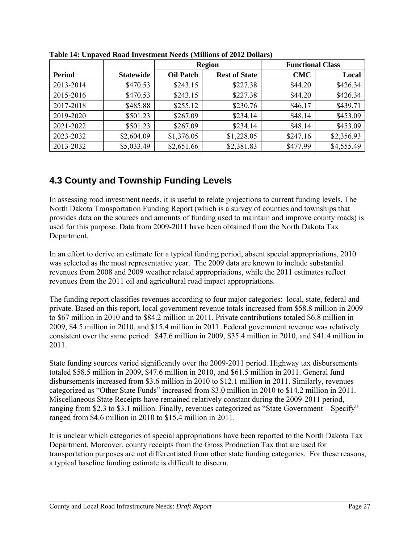|               |                  | <b>Region</b>    |                      | <b>Functional Class</b> |            |
|---------------|------------------|------------------|----------------------|-------------------------|------------|
| <b>Period</b> | <b>Statewide</b> | <b>Oil Patch</b> | <b>Rest of State</b> | <b>CMC</b>              | Local      |
| 2013-2014     | \$470.53         | \$243.15         | \$227.38             | \$44.20                 | \$426.34   |
| 2015-2016     | \$470.53         | \$243.15         | \$227.38             | \$44.20                 | \$426.34   |
| 2017-2018     | \$485.88         | \$255.12         | \$230.76             | \$46.17                 | \$439.71   |
| 2019-2020     | \$501.23         | \$267.09         | \$234.14             | \$48.14                 | \$453.09   |
| 2021-2022     | \$501.23         | \$267.09         | \$234.14             | \$48.14                 | \$453.09   |
| 2023-2032     | \$2,604.09       | \$1,376.05       | \$1,228.05           | \$247.16                | \$2,356.93 |
| 2013-2032     | \$5,033.49       | \$2,651.66       | \$2,381.83           | \$477.99                | \$4,555.49 |

**Table 14: Unpaved Road Investment Needs (Millions of 2012 Dollars)** 

## **4.3 County and Township Funding Levels**

In assessing road investment needs, it is useful to relate projections to current funding levels. The North Dakota Transportation Funding Report (which is a survey of counties and townships that provides data on the sources and amounts of funding used to maintain and improve county roads) is used for this purpose. Data from 2009-2011 have been obtained from the North Dakota Tax Department.

In an effort to derive an estimate for a typical funding period, absent special appropriations, 2010 was selected as the most representative year. The 2009 data are known to include substantial revenues from 2008 and 2009 weather related appropriations, while the 2011 estimates reflect revenues from the 2011 oil and agricultural road impact appropriations.

The funding report classifies revenues according to four major categories: local, state, federal and private. Based on this report, local government revenue totals increased from \$58.8 million in 2009 to \$67 million in 2010 and to \$84.2 million in 2011. Private contributions totaled \$6.8 million in 2009, \$4.5 million in 2010, and \$15.4 million in 2011. Federal government revenue was relatively consistent over the same period: \$47.6 million in 2009, \$35.4 million in 2010, and \$41.4 million in 2011.

State funding sources varied significantly over the 2009-2011 period. Highway tax disbursements totaled \$58.5 million in 2009, \$47.6 million in 2010, and \$61.5 million in 2011. General fund disbursements increased from \$3.6 million in 2010 to \$12.1 million in 2011. Similarly, revenues categorized as "Other State Funds" increased from \$3.0 million in 2010 to \$14.2 million in 2011. Miscellaneous State Receipts have remained relatively constant during the 2009-2011 period, ranging from \$2.3 to \$3.1 million. Finally, revenues categorized as "State Government – Specify" ranged from \$4.6 million in 2010 to \$15.4 million in 2011.

It is unclear which categories of special appropriations have been reported to the North Dakota Tax Department. Moreover, county receipts from the Gross Production Tax that are used for transportation purposes are not differentiated from other state funding categories. For these reasons, a typical baseline funding estimate is difficult to discern.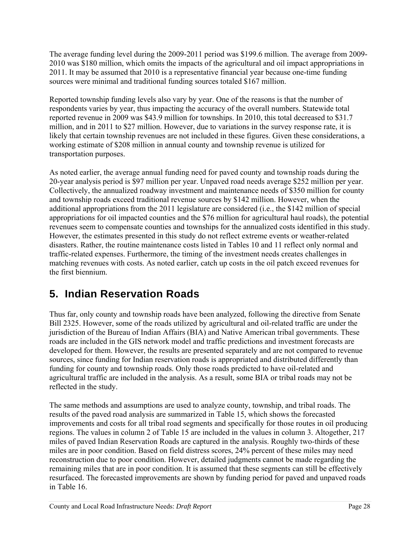The average funding level during the 2009-2011 period was \$199.6 million. The average from 2009- 2010 was \$180 million, which omits the impacts of the agricultural and oil impact appropriations in 2011. It may be assumed that 2010 is a representative financial year because one-time funding sources were minimal and traditional funding sources totaled \$167 million.

Reported township funding levels also vary by year. One of the reasons is that the number of respondents varies by year, thus impacting the accuracy of the overall numbers. Statewide total reported revenue in 2009 was \$43.9 million for townships. In 2010, this total decreased to \$31.7 million, and in 2011 to \$27 million. However, due to variations in the survey response rate, it is likely that certain township revenues are not included in these figures. Given these considerations, a working estimate of \$208 million in annual county and township revenue is utilized for transportation purposes.

As noted earlier, the average annual funding need for paved county and township roads during the 20-year analysis period is \$97 million per year. Unpaved road needs average \$252 million per year. Collectively, the annualized roadway investment and maintenance needs of \$350 million for county and township roads exceed traditional revenue sources by \$142 million. However, when the additional appropriations from the 2011 legislature are considered (i.e., the \$142 million of special appropriations for oil impacted counties and the \$76 million for agricultural haul roads), the potential revenues seem to compensate counties and townships for the annualized costs identified in this study. However, the estimates presented in this study do not reflect extreme events or weather-related disasters. Rather, the routine maintenance costs listed in Tables 10 and 11 reflect only normal and traffic-related expenses. Furthermore, the timing of the investment needs creates challenges in matching revenues with costs. As noted earlier, catch up costs in the oil patch exceed revenues for the first biennium.

# **5. Indian Reservation Roads**

Thus far, only county and township roads have been analyzed, following the directive from Senate Bill 2325. However, some of the roads utilized by agricultural and oil-related traffic are under the jurisdiction of the Bureau of Indian Affairs (BIA) and Native American tribal governments. These roads are included in the GIS network model and traffic predictions and investment forecasts are developed for them. However, the results are presented separately and are not compared to revenue sources, since funding for Indian reservation roads is appropriated and distributed differently than funding for county and township roads. Only those roads predicted to have oil-related and agricultural traffic are included in the analysis. As a result, some BIA or tribal roads may not be reflected in the study.

The same methods and assumptions are used to analyze county, township, and tribal roads. The results of the paved road analysis are summarized in Table 15, which shows the forecasted improvements and costs for all tribal road segments and specifically for those routes in oil producing regions. The values in column 2 of Table 15 are included in the values in column 3. Altogether, 217 miles of paved Indian Reservation Roads are captured in the analysis. Roughly two-thirds of these miles are in poor condition. Based on field distress scores, 24% percent of these miles may need reconstruction due to poor condition. However, detailed judgments cannot be made regarding the remaining miles that are in poor condition. It is assumed that these segments can still be effectively resurfaced. The forecasted improvements are shown by funding period for paved and unpaved roads in Table 16.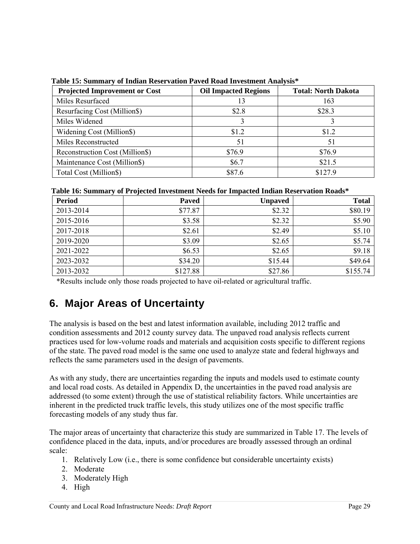| <b>Projected Improvement or Cost</b> | <b>Oil Impacted Regions</b> | <b>Total: North Dakota</b> |
|--------------------------------------|-----------------------------|----------------------------|
| Miles Resurfaced                     | 13                          | 163                        |
| <b>Resurfacing Cost (Million\$)</b>  | \$2.8                       | \$28.3                     |
| Miles Widened                        |                             |                            |
| Widening Cost (Million\$)            | \$1.2                       | \$1.2                      |
| Miles Reconstructed                  | 51                          | 51                         |
| Reconstruction Cost (Million\$)      | \$76.9                      | \$76.9                     |
| Maintenance Cost (Million\$)         | \$6.7                       | \$21.5                     |
| Total Cost (Million\$)               | \$87.6                      | \$1279                     |

 **Table 15: Summary of Indian Reservation Paved Road Investment Analysis\***

 **Table 16: Summary of Projected Investment Needs for Impacted Indian Reservation Roads\***

| <b>Period</b> | $\cdot$<br><b>Paved</b> | <b>Unpaved</b> | <b>Total</b> |
|---------------|-------------------------|----------------|--------------|
| 2013-2014     | \$77.87                 | \$2.32         | \$80.19      |
| 2015-2016     | \$3.58                  | \$2.32         | \$5.90       |
| 2017-2018     | \$2.61                  | \$2.49         | \$5.10       |
| 2019-2020     | \$3.09                  | \$2.65         | \$5.74       |
| 2021-2022     | \$6.53                  | \$2.65         | \$9.18       |
| 2023-2032     | \$34.20                 | \$15.44        | \$49.64      |
| 2013-2032     | \$127.88                | \$27.86        | \$155.74     |

\*Results include only those roads projected to have oil-related or agricultural traffic.

# **6. Major Areas of Uncertainty**

The analysis is based on the best and latest information available, including 2012 traffic and condition assessments and 2012 county survey data. The unpaved road analysis reflects current practices used for low-volume roads and materials and acquisition costs specific to different regions of the state. The paved road model is the same one used to analyze state and federal highways and reflects the same parameters used in the design of pavements.

As with any study, there are uncertainties regarding the inputs and models used to estimate county and local road costs. As detailed in Appendix D, the uncertainties in the paved road analysis are addressed (to some extent) through the use of statistical reliability factors. While uncertainties are inherent in the predicted truck traffic levels, this study utilizes one of the most specific traffic forecasting models of any study thus far.

The major areas of uncertainty that characterize this study are summarized in Table 17. The levels of confidence placed in the data, inputs, and/or procedures are broadly assessed through an ordinal scale:

- 1. Relatively Low (i.e., there is some confidence but considerable uncertainty exists)
- 2. Moderate
- 3. Moderately High
- 4. High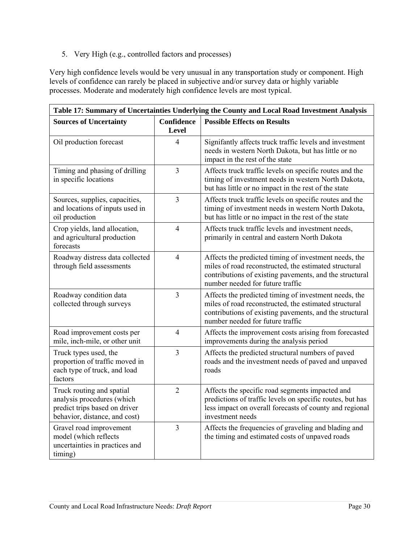5. Very High (e.g., controlled factors and processes)

Very high confidence levels would be very unusual in any transportation study or component. High levels of confidence can rarely be placed in subjective and/or survey data or highly variable processes. Moderate and moderately high confidence levels are most typical.

| Table 17: Summary of Uncertainties Underlying the County and Local Road Investment Analysis                               |                                   |                                                                                                                                                                                                               |  |
|---------------------------------------------------------------------------------------------------------------------------|-----------------------------------|---------------------------------------------------------------------------------------------------------------------------------------------------------------------------------------------------------------|--|
| <b>Sources of Uncertainty</b>                                                                                             | <b>Confidence</b><br><b>Level</b> | <b>Possible Effects on Results</b>                                                                                                                                                                            |  |
| Oil production forecast                                                                                                   | $\overline{4}$                    | Signifantly affects truck traffic levels and investment<br>needs in western North Dakota, but has little or no<br>impact in the rest of the state                                                             |  |
| Timing and phasing of drilling<br>in specific locations                                                                   | $\overline{3}$                    | Affects truck traffic levels on specific routes and the<br>timing of investment needs in western North Dakota,<br>but has little or no impact in the rest of the state                                        |  |
| Sources, supplies, capacities,<br>and locations of inputs used in<br>oil production                                       | $\overline{3}$                    | Affects truck traffic levels on specific routes and the<br>timing of investment needs in western North Dakota,<br>but has little or no impact in the rest of the state                                        |  |
| Crop yields, land allocation,<br>and agricultural production<br>forecasts                                                 | $\overline{4}$                    | Affects truck traffic levels and investment needs,<br>primarily in central and eastern North Dakota                                                                                                           |  |
| Roadway distress data collected<br>through field assessments                                                              | $\overline{4}$                    | Affects the predicted timing of investment needs, the<br>miles of road reconstructed, the estimated structural<br>contributions of existing pavements, and the structural<br>number needed for future traffic |  |
| Roadway condition data<br>collected through surveys                                                                       | $\overline{3}$                    | Affects the predicted timing of investment needs, the<br>miles of road reconstructed, the estimated structural<br>contributions of existing pavements, and the structural<br>number needed for future traffic |  |
| Road improvement costs per<br>mile, inch-mile, or other unit                                                              | $\overline{4}$                    | Affects the improvement costs arising from forecasted<br>improvements during the analysis period                                                                                                              |  |
| Truck types used, the<br>proportion of traffic moved in<br>each type of truck, and load<br>factors                        | 3                                 | Affects the predicted structural numbers of paved<br>roads and the investment needs of paved and unpaved<br>roads                                                                                             |  |
| Truck routing and spatial<br>analysis procedures (which<br>predict trips based on driver<br>behavior, distance, and cost) | $\overline{2}$                    | Affects the specific road segments impacted and<br>predictions of traffic levels on specific routes, but has<br>less impact on overall forecasts of county and regional<br>investment needs                   |  |
| Gravel road improvement<br>model (which reflects<br>uncertainties in practices and<br>timing)                             | $\overline{3}$                    | Affects the frequencies of graveling and blading and<br>the timing and estimated costs of unpaved roads                                                                                                       |  |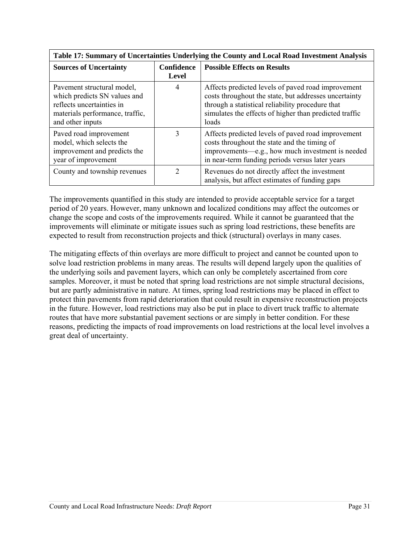| Table 17: Summary of Uncertainties Underlying the County and Local Road Investment Analysis                                                    |                                   |                                                                                                                                                                                                                                    |  |
|------------------------------------------------------------------------------------------------------------------------------------------------|-----------------------------------|------------------------------------------------------------------------------------------------------------------------------------------------------------------------------------------------------------------------------------|--|
| <b>Sources of Uncertainty</b>                                                                                                                  | <b>Confidence</b><br><b>Level</b> | <b>Possible Effects on Results</b>                                                                                                                                                                                                 |  |
| Pavement structural model,<br>which predicts SN values and<br>reflects uncertainties in<br>materials performance, traffic,<br>and other inputs | 4                                 | Affects predicted levels of paved road improvement<br>costs throughout the state, but addresses uncertainty<br>through a statistical reliability procedure that<br>simulates the effects of higher than predicted traffic<br>loads |  |
| Paved road improvement<br>model, which selects the<br>improvement and predicts the<br>year of improvement                                      | 3                                 | Affects predicted levels of paved road improvement<br>costs throughout the state and the timing of<br>improvements-e.g., how much investment is needed<br>in near-term funding periods versus later years                          |  |
| County and township revenues                                                                                                                   | $\mathfrak{D}$                    | Revenues do not directly affect the investment<br>analysis, but affect estimates of funding gaps                                                                                                                                   |  |

The improvements quantified in this study are intended to provide acceptable service for a target period of 20 years. However, many unknown and localized conditions may affect the outcomes or change the scope and costs of the improvements required. While it cannot be guaranteed that the improvements will eliminate or mitigate issues such as spring load restrictions, these benefits are expected to result from reconstruction projects and thick (structural) overlays in many cases.

The mitigating effects of thin overlays are more difficult to project and cannot be counted upon to solve load restriction problems in many areas. The results will depend largely upon the qualities of the underlying soils and pavement layers, which can only be completely ascertained from core samples. Moreover, it must be noted that spring load restrictions are not simple structural decisions, but are partly administrative in nature. At times, spring load restrictions may be placed in effect to protect thin pavements from rapid deterioration that could result in expensive reconstruction projects in the future. However, load restrictions may also be put in place to divert truck traffic to alternate routes that have more substantial pavement sections or are simply in better condition. For these reasons, predicting the impacts of road improvements on load restrictions at the local level involves a great deal of uncertainty.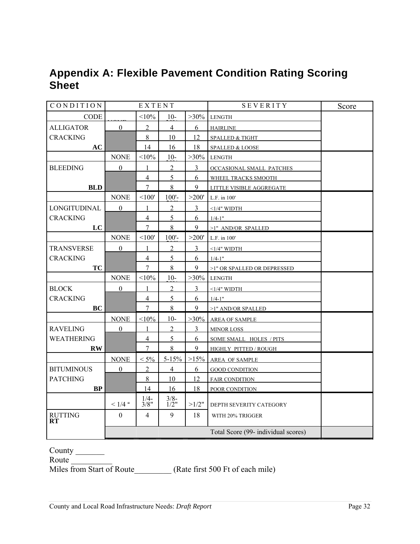## **Appendix A: Flexible Pavement Condition Rating Scoring Sheet**

| CONDITION              | EXTENT           |                                |                | SEVERITY       | Score                               |  |
|------------------------|------------------|--------------------------------|----------------|----------------|-------------------------------------|--|
| CODE                   |                  | <10%                           | $10-$          | $>30\%$        | <b>LENGTH</b>                       |  |
| <b>ALLIGATOR</b>       | $\mathbf{0}$     | $\overline{2}$                 | $\overline{4}$ | 6              | <b>HAIRLINE</b>                     |  |
| <b>CRACKING</b>        |                  | 8                              | 10             | 12             | SPALLED & TIGHT                     |  |
| AC                     |                  | 14                             | 16             | 18             | SPALLED & LOOSE                     |  |
|                        | <b>NONE</b>      | <10%                           | $10-$          | $>30\%$        | <b>LENGTH</b>                       |  |
| <b>BLEEDING</b>        | $\mathbf{0}$     | $\mathbf{1}$                   | $\overline{2}$ | $\mathfrak{Z}$ | OCCASIONAL SMALL PATCHES            |  |
|                        |                  | $\overline{4}$                 | 5              | 6              | WHEEL TRACKS SMOOTH                 |  |
| <b>BLD</b>             |                  | $\overline{7}$                 | 8              | 9              | LITTLE VISIBLE AGGREGATE            |  |
|                        | <b>NONE</b>      | <100'                          | $100'$ -       | >200'          | L.F. in 100'                        |  |
| LONGITUDINAL           | $\mathbf{0}$     | $\mathbf{1}$                   | $\overline{2}$ | $\overline{3}$ | $<$ 1/4" WIDTH                      |  |
| <b>CRACKING</b>        |                  | $\overline{4}$                 | 5              | 6              | $1/4 - 1$ "                         |  |
| LC                     |                  | $\overline{7}$                 | 8              | 9              | >1" AND/OR SPALLED                  |  |
|                        | <b>NONE</b>      | < 100'                         | $100'$ -       | >200'          | L.F. in 100'                        |  |
| <b>TRANSVERSE</b>      | $\boldsymbol{0}$ | 1                              | $\overline{2}$ | $\overline{3}$ | $<1/4"$ WIDTH                       |  |
| <b>CRACKING</b>        |                  | $\overline{4}$                 | $\overline{5}$ | 6              | $1/4 - 1$ "                         |  |
| <b>TC</b>              |                  | $\overline{7}$                 | 8              | 9              | >1" OR SPALLED OR DEPRESSED         |  |
|                        | <b>NONE</b>      | <10%                           | $10-$          | $>30\%$        | LENGTH                              |  |
| <b>BLOCK</b>           | $\theta$         | $\mathbf{1}$                   | $\overline{2}$ | $\overline{3}$ | $\leq$ 1/4" WIDTH                   |  |
| <b>CRACKING</b>        |                  | $\overline{4}$                 | 5              | 6              | $1/4 - 1"$                          |  |
| BC                     |                  | $\overline{7}$                 | 8              | 9              | >1" AND/OR SPALLED                  |  |
|                        | <b>NONE</b>      | $< 10\%$                       | $10-$          | $>30\%$        | <b>AREA OF SAMPLE</b>               |  |
| <b>RAVELING</b>        | $\overline{0}$   | 1                              | $\overline{2}$ | $\mathfrak{Z}$ | <b>MINOR LOSS</b>                   |  |
| <b>WEATHERING</b>      |                  | $\overline{4}$                 | $\overline{5}$ | 6              | SOME SMALL HOLES / PITS             |  |
| $\mathbf{R}\mathbf{W}$ |                  | $7\overline{ }$                | 8              | 9              | HIGHLY PITTED / ROUGH               |  |
|                        | <b>NONE</b>      | $< 5\%$                        | $5 - 15%$      | $>15\%$        | AREA OF SAMPLE                      |  |
| <b>BITUMINOUS</b>      | $\overline{0}$   | 2                              | $\overline{4}$ | 6              | <b>GOOD CONDITION</b>               |  |
| <b>PATCHING</b>        |                  | 8                              | 10             | 12             | <b>FAIR CONDITION</b>               |  |
| BP                     |                  | 14                             | 16             | 18             | POOR CONDITION                      |  |
|                        | $< 1/4$ "        | $\frac{1}{4}$<br>$\frac{1}{8}$ | $\frac{3}{8}$  | $>1/2$ "       | DEPTH SEVERITY CATEGORY             |  |
| <b>RUTTING</b>         | $\boldsymbol{0}$ | $\overline{4}$                 | 9              | 18             | WITH 20% TRIGGER                    |  |
| RТ                     |                  |                                |                |                |                                     |  |
|                        |                  |                                |                |                | Total Score (99- individual scores) |  |

County \_\_\_\_\_\_\_\_

Route  $\Box$ 

Miles from Start of Route (Rate first 500 Ft of each mile)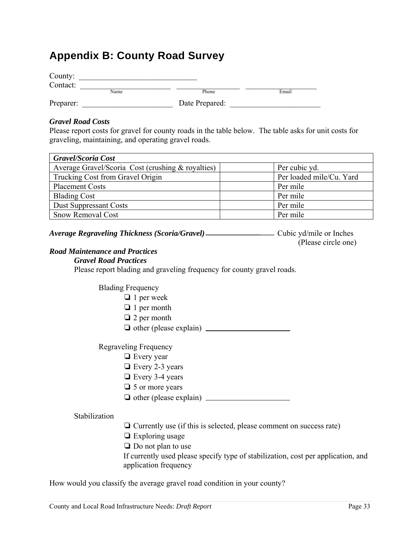## **Appendix B: County Road Survey**

| County:   |      |                |       |
|-----------|------|----------------|-------|
| Contact:  |      |                |       |
|           | Name | Phone          | Email |
| Preparer: |      | Date Prepared: |       |

#### *Gravel Road Costs*

Please report costs for gravel for county roads in the table below. The table asks for unit costs for graveling, maintaining, and operating gravel roads.

| <b>Gravel/Scoria Cost</b>                         |                          |
|---------------------------------------------------|--------------------------|
| Average Gravel/Scoria Cost (crushing & royalties) | Per cubic yd.            |
| Trucking Cost from Gravel Origin                  | Per loaded mile/Cu. Yard |
| <b>Placement Costs</b>                            | Per mile                 |
| <b>Blading Cost</b>                               | Per mile                 |
| <b>Dust Suppressant Costs</b>                     | Per mile                 |
| <b>Snow Removal Cost</b>                          | Per mile                 |

| <b>Average Regraveling Thickness (Scoria/Gravel)</b> | Cubic yd/mile or Inches |
|------------------------------------------------------|-------------------------|
|                                                      | (Please circle one)     |

#### *Road Maintenance and Practices*

#### *Gravel Road Practices*

Please report blading and graveling frequency for county gravel roads.

Blading Frequency

- ❏ 1 per week
- ❏ 1 per month
- ❏ 2 per month

❏ other (please explain)

Regraveling Frequency

- ❏ Every year
- ❏ Every 2-3 years
- ❏ Every 3-4 years
- ❏ 5 or more years
- ❏ other (please explain)

#### Stabilization

- ❏ Currently use (if this is selected, please comment on success rate)
- ❏ Exploring usage
- ❏ Do not plan to use

If currently used please specify type of stabilization, cost per application, and application frequency

How would you classify the average gravel road condition in your county?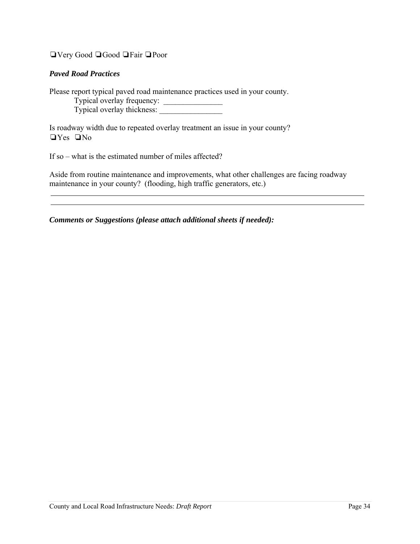❏Very Good ❏Good ❏Fair ❏Poor

#### *Paved Road Practices*

Please report typical paved road maintenance practices used in your county.

Typical overlay frequency: \_\_\_\_\_\_\_\_\_\_\_\_\_\_\_

Typical overlay thickness:

Is roadway width due to repeated overlay treatment an issue in your county? ❏Yes ❏No

If so – what is the estimated number of miles affected?

Aside from routine maintenance and improvements, what other challenges are facing roadway maintenance in your county? (flooding, high traffic generators, etc.)

*Comments or Suggestions (please attach additional sheets if needed):*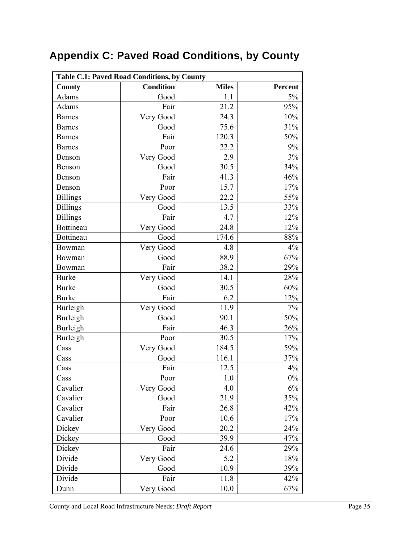# **Appendix C: Paved Road Conditions, by County**

| <b>Table C.1: Paved Road Conditions, by County</b> |                  |              |         |
|----------------------------------------------------|------------------|--------------|---------|
| County                                             | <b>Condition</b> | <b>Miles</b> | Percent |
| Adams                                              | Good             | 1.1          | 5%      |
| Adams                                              | Fair             | 21.2         | 95%     |
| <b>Barnes</b>                                      | Very Good        | 24.3         | 10%     |
| <b>Barnes</b>                                      | Good             | 75.6         | 31%     |
| <b>Barnes</b>                                      | Fair             | 120.3        | 50%     |
| <b>Barnes</b>                                      | Poor             | 22.2         | 9%      |
| Benson                                             | Very Good        | 2.9          | 3%      |
| Benson                                             | Good             | 30.5         | 34%     |
| Benson                                             | Fair             | 41.3         | 46%     |
| Benson                                             | Poor             | 15.7         | 17%     |
| <b>Billings</b>                                    | Very Good        | 22.2         | 55%     |
| <b>Billings</b>                                    | Good             | 13.5         | 33%     |
| <b>Billings</b>                                    | Fair             | 4.7          | 12%     |
| Bottineau                                          | Very Good        | 24.8         | 12%     |
| Bottineau                                          | Good             | 174.6        | 88%     |
| Bowman                                             | Very Good        | 4.8          | 4%      |
| Bowman                                             | Good             | 88.9         | 67%     |
| Bowman                                             | Fair             | 38.2         | 29%     |
| <b>Burke</b>                                       | Very Good        | 14.1         | 28%     |
| <b>Burke</b>                                       | Good             | 30.5         | $60\%$  |
| <b>Burke</b>                                       | Fair             | 6.2          | 12%     |
| Burleigh                                           | Very Good        | 11.9         | 7%      |
| Burleigh                                           | Good             | 90.1         | 50%     |
| Burleigh                                           | Fair             | 46.3         | 26%     |
| Burleigh                                           | Poor             | 30.5         | 17%     |
| Cass                                               | Very Good        | 184.5        | 59%     |
| Cass                                               | Good             | 116.1        | 37%     |
| Cass                                               | Fair             | 12.5         | 4%      |
| Cass                                               | Poor             | 1.0          | $0\%$   |
| Cavalier                                           | Very Good        | 4.0          | 6%      |
| Cavalier                                           | Good             | 21.9         | 35%     |
| Cavalier                                           | Fair             | 26.8         | 42%     |
| Cavalier                                           | Poor             | 10.6         | 17%     |
| Dickey                                             | Very Good        | 20.2         | 24%     |
| Dickey                                             | Good             | 39.9         | 47%     |
| Dickey                                             | Fair             | 24.6         | 29%     |
| Divide                                             | Very Good        | 5.2          | 18%     |
| Divide                                             | Good             | 10.9         | 39%     |
| Divide                                             | Fair             | 11.8         | 42%     |
| Dunn                                               | Very Good        | 10.0         | 67%     |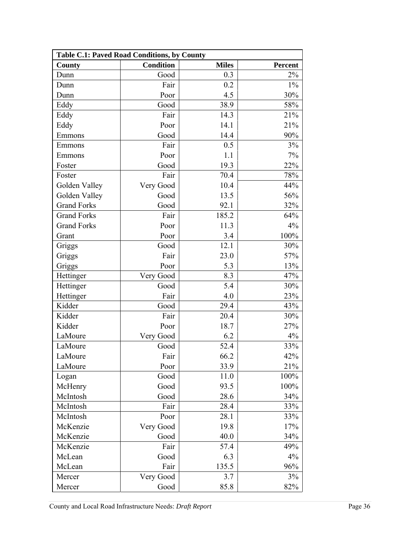| <b>Table C.1: Paved Road Conditions, by County</b> |                  |              |                |
|----------------------------------------------------|------------------|--------------|----------------|
| County                                             | <b>Condition</b> | <b>Miles</b> | <b>Percent</b> |
| Dunn                                               | Good             | 0.3          | 2%             |
| Dunn                                               | Fair             | 0.2          | $1\%$          |
| Dunn                                               | Poor             | 4.5          | 30%            |
| Eddy                                               | Good             | 38.9         | 58%            |
| Eddy                                               | Fair             | 14.3         | 21%            |
| Eddy                                               | Poor             | 14.1         | 21%            |
| Emmons                                             | Good             | 14.4         | 90%            |
| Emmons                                             | Fair             | 0.5          | 3%             |
| Emmons                                             | Poor             | 1.1          | 7%             |
| Foster                                             | Good             | 19.3         | 22%            |
| Foster                                             | Fair             | 70.4         | 78%            |
| Golden Valley                                      | Very Good        | 10.4         | 44%            |
| Golden Valley                                      | Good             | 13.5         | 56%            |
| <b>Grand Forks</b>                                 | Good             | 92.1         | 32%            |
| <b>Grand Forks</b>                                 | Fair             | 185.2        | 64%            |
| <b>Grand Forks</b>                                 | Poor             | 11.3         | 4%             |
| Grant                                              | Poor             | 3.4          | 100%           |
| Griggs                                             | Good             | 12.1         | 30%            |
| Griggs                                             | Fair             | 23.0         | 57%            |
| Griggs                                             | Poor             | 5.3          | 13%            |
| Hettinger                                          | Very Good        | 8.3          | 47%            |
| Hettinger                                          | Good             | 5.4          | 30%            |
| Hettinger                                          | Fair             | 4.0          | 23%            |
| Kidder                                             | Good             | 29.4         | 43%            |
| Kidder                                             | Fair             | 20.4         | 30%            |
| Kidder                                             | Poor             | 18.7         | 27%            |
| LaMoure                                            | Very Good        | 6.2          | 4%             |
| LaMoure                                            | Good             | 52.4         | 33%            |
| LaMoure                                            | Fair             | 66.2         | 42%            |
| LaMoure                                            | Poor             | 33.9         | 21%            |
| Logan                                              | Good             | 11.0         | 100%           |
| McHenry                                            | Good             | 93.5         | 100%           |
| McIntosh                                           | Good             | 28.6         | 34%            |
| McIntosh                                           | Fair             | 28.4         | 33%            |
| McIntosh                                           | Poor             | 28.1         | 33%            |
| McKenzie                                           | Very Good        | 19.8         | 17%            |
| McKenzie                                           | Good             | 40.0         | 34%            |
| McKenzie                                           | Fair             | 57.4         | 49%            |
| McLean                                             | Good             | 6.3          | 4%             |
| McLean                                             | Fair             | 135.5        | 96%            |
| Mercer                                             | Very Good        | 3.7          | 3%             |
| Mercer                                             | Good             | 85.8         | 82%            |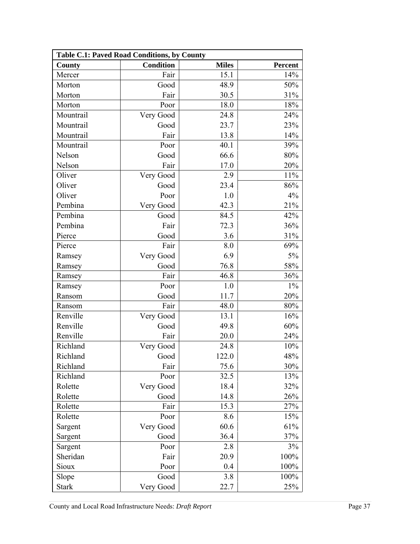| Table C.1: Paved Road Conditions, by County |                  |              |         |
|---------------------------------------------|------------------|--------------|---------|
| County                                      | <b>Condition</b> | <b>Miles</b> | Percent |
| Mercer                                      | Fair             | 15.1         | 14%     |
| Morton                                      | Good             | 48.9         | 50%     |
| Morton                                      | Fair             | 30.5         | 31%     |
| Morton                                      | Poor             | 18.0         | 18%     |
| Mountrail                                   | Very Good        | 24.8         | 24%     |
| Mountrail                                   | Good             | 23.7         | 23%     |
| Mountrail                                   | Fair             | 13.8         | 14%     |
| Mountrail                                   | Poor             | 40.1         | 39%     |
| Nelson                                      | Good             | 66.6         | 80%     |
| Nelson                                      | Fair             | 17.0         | 20%     |
| Oliver                                      | Very Good        | 2.9          | 11%     |
| Oliver                                      | Good             | 23.4         | 86%     |
| Oliver                                      | Poor             | 1.0          | 4%      |
| Pembina                                     | Very Good        | 42.3         | 21%     |
| Pembina                                     | Good             | 84.5         | 42%     |
| Pembina                                     | Fair             | 72.3         | 36%     |
| Pierce                                      | Good             | 3.6          | 31%     |
| Pierce                                      | Fair             | 8.0          | 69%     |
| Ramsey                                      | Very Good        | 6.9          | 5%      |
| Ramsey                                      | Good             | 76.8         | 58%     |
| Ramsey                                      | Fair             | 46.8         | 36%     |
| Ramsey                                      | Poor             | 1.0          | $1\%$   |
| Ransom                                      | Good             | 11.7         | 20%     |
| Ransom                                      | Fair             | 48.0         | 80%     |
| Renville                                    | Very Good        | 13.1         | 16%     |
| Renville                                    | Good             | 49.8         | 60%     |
| Renville                                    | Fair             | 20.0         | 24%     |
| Richland                                    | Very Good        | 24.8         | 10%     |
| Richland                                    | Good             | 122.0        | 48%     |
| Richland                                    | Fair             | 75.6         | 30%     |
| Richland                                    | Poor             | 32.5         | 13%     |
| Rolette                                     | Very Good        | 18.4         | 32%     |
| Rolette                                     | Good             | 14.8         | 26%     |
| Rolette                                     | Fair             | 15.3         | 27%     |
| Rolette                                     | Poor             | 8.6          | 15%     |
| Sargent                                     | Very Good        | 60.6         | 61%     |
| Sargent                                     | Good             | 36.4         | 37%     |
| Sargent                                     | Poor             | 2.8          | 3%      |
| Sheridan                                    | Fair             | 20.9         | 100%    |
| Sioux                                       | Poor             | 0.4          | 100%    |
| Slope                                       | Good             | 3.8          | 100%    |
| <b>Stark</b>                                | Very Good        | 22.7         | 25%     |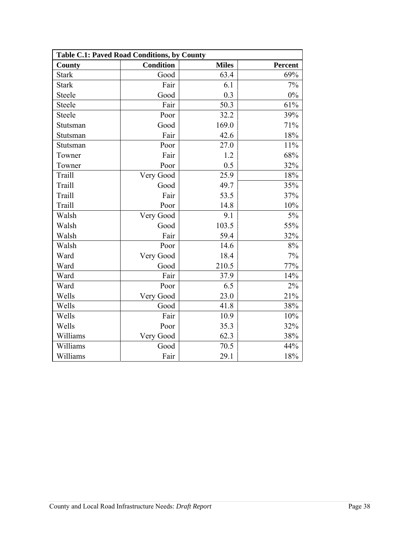| Table C.1: Paved Road Conditions, by County |                  |              |         |
|---------------------------------------------|------------------|--------------|---------|
| <b>County</b>                               | <b>Condition</b> | <b>Miles</b> | Percent |
| <b>Stark</b>                                | Good             | 63.4         | 69%     |
| <b>Stark</b>                                | Fair             | 6.1          | 7%      |
| Steele                                      | Good             | 0.3          | 0%      |
| Steele                                      | Fair             | 50.3         | 61%     |
| Steele                                      | Poor             | 32.2         | 39%     |
| Stutsman                                    | Good             | 169.0        | 71%     |
| Stutsman                                    | Fair             | 42.6         | 18%     |
| Stutsman                                    | Poor             | 27.0         | 11%     |
| Towner                                      | Fair             | 1.2          | 68%     |
| Towner                                      | Poor             | 0.5          | 32%     |
| Traill                                      | Very Good        | 25.9         | 18%     |
| Traill                                      | Good             | 49.7         | 35%     |
| Traill                                      | Fair             | 53.5         | 37%     |
| Traill                                      | Poor             | 14.8         | 10%     |
| Walsh                                       | Very Good        | 9.1          | 5%      |
| Walsh                                       | Good             | 103.5        | 55%     |
| Walsh                                       | Fair             | 59.4         | 32%     |
| Walsh                                       | Poor             | 14.6         | 8%      |
| Ward                                        | Very Good        | 18.4         | 7%      |
| Ward                                        | Good             | 210.5        | 77%     |
| Ward                                        | Fair             | 37.9         | 14%     |
| Ward                                        | Poor             | 6.5          | 2%      |
| Wells                                       | Very Good        | 23.0         | 21%     |
| Wells                                       | Good             | 41.8         | 38%     |
| Wells                                       | Fair             | 10.9         | 10%     |
| Wells                                       | Poor             | 35.3         | 32%     |
| Williams                                    | Very Good        | 62.3         | 38%     |
| Williams                                    | Good             | 70.5         | 44%     |
| Williams                                    | Fair             | 29.1         | 18%     |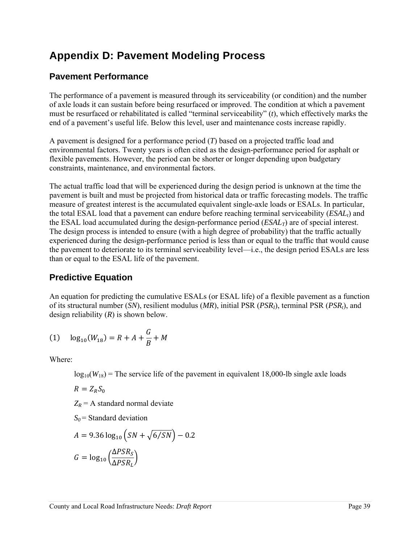# **Appendix D: Pavement Modeling Process**

### **Pavement Performance**

The performance of a pavement is measured through its serviceability (or condition) and the number of axle loads it can sustain before being resurfaced or improved. The condition at which a pavement must be resurfaced or rehabilitated is called "terminal serviceability" (*t*), which effectively marks the end of a pavement's useful life. Below this level, user and maintenance costs increase rapidly.

A pavement is designed for a performance period (*T*) based on a projected traffic load and environmental factors. Twenty years is often cited as the design-performance period for asphalt or flexible pavements. However, the period can be shorter or longer depending upon budgetary constraints, maintenance, and environmental factors.

The actual traffic load that will be experienced during the design period is unknown at the time the pavement is built and must be projected from historical data or traffic forecasting models. The traffic measure of greatest interest is the accumulated equivalent single-axle loads or ESALs. In particular, the total ESAL load that a pavement can endure before reaching terminal serviceability (*ESALt*) and the ESAL load accumulated during the design-performance period (*ESALT*) are of special interest. The design process is intended to ensure (with a high degree of probability) that the traffic actually experienced during the design-performance period is less than or equal to the traffic that would cause the pavement to deteriorate to its terminal serviceability level—i.e., the design period ESALs are less than or equal to the ESAL life of the pavement.

### **Predictive Equation**

An equation for predicting the cumulative ESALs (or ESAL life) of a flexible pavement as a function of its structural number (*SN*), resilient modulus (*MR*), initial PSR (*PSRI*), terminal PSR (*PSRt*), and design reliability (*R*) is shown below.

(1) 
$$
\log_{10}(W_{18}) = R + A + \frac{G}{B} + M
$$

Where:

 $log_{10}(W_{18})$  = The service life of the pavement in equivalent 18,000-lb single axle loads

$$
R=Z_R S_0
$$

 $Z_R$  = A standard normal deviate

 $S_0$  = Standard deviation

$$
A = 9.36 \log_{10} \left( SN + \sqrt{6/SN} \right) - 0.2
$$

$$
G = \log_{10} \left( \frac{\Delta PSR_S}{\Delta PSR_L} \right)
$$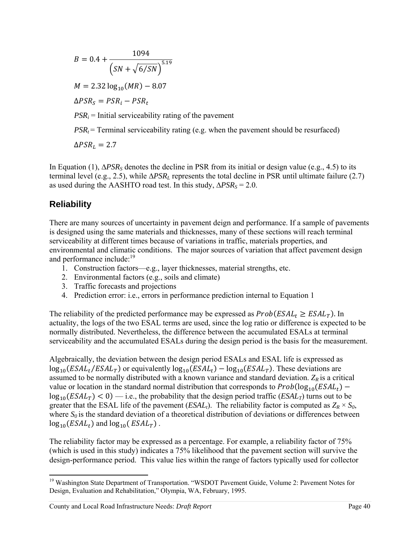$B = 0.4 +$ 1094  $(SN + \sqrt{6/SN})^{5.19}$  $M = 2.32 \log_{10}(MR) - 8.07$  $\Delta PSR_s = PSR_i - PSR_t$  $PSR_i$  = Initial serviceability rating of the pavement  $PSR_t$  = Terminal serviceability rating (e.g. when the pavement should be resurfaced)  $\Delta PSR_L = 2.7$ 

In Equation (1), ∆*PSRS* denotes the decline in PSR from its initial or design value (e.g., 4.5) to its terminal level (e.g., 2.5), while ∆*PSRL* represents the total decline in PSR until ultimate failure (2.7) as used during the AASHTO road test. In this study,  $ΔPSR<sub>S</sub> = 2.0$ .

### **Reliability**

There are many sources of uncertainty in pavement deign and performance. If a sample of pavements is designed using the same materials and thicknesses, many of these sections will reach terminal serviceability at different times because of variations in traffic, materials properties, and environmental and climatic conditions. The major sources of variation that affect pavement design and performance include: $19$ 

- 1. Construction factors—e.g., layer thicknesses, material strengths, etc.
- 2. Environmental factors (e.g., soils and climate)
- 3. Traffic forecasts and projections
- 4. Prediction error: i.e., errors in performance prediction internal to Equation 1

The reliability of the predicted performance may be expressed as  $Prob(ESAL_t \geq ESAL_T)$ . In actuality, the logs of the two ESAL terms are used, since the log ratio or difference is expected to be normally distributed. Nevertheless, the difference between the accumulated ESALs at terminal serviceability and the accumulated ESALs during the design period is the basis for the measurement.

Algebraically, the deviation between the design period ESALs and ESAL life is expressed as  $\log_{10}(ESAL_t/ESAL_T)$  or equivalently  $\log_{10}(ESAL_t) - \log_{10}(ESAL_T)$ . These deviations are assumed to be normally distributed with a known variance and standard deviation.  $Z_R$  is a critical value or location in the standard normal distribution that corresponds to  $Prob(log_{10}(ESAL_t)$  $log_{10}(ESAL_T)$  < 0) — i.e., the probability that the design period traffic (*ESAL<sub>T</sub>*) turns out to be greater that the ESAL life of the pavement (*ESAL<sub>t</sub>*). The reliability factor is computed as  $Z_R \times S_0$ , where  $S_0$  is the standard deviation of a theoretical distribution of deviations or differences between  $log_{10}(ESAL_t)$  and  $log_{10}(ESAL_T)$ .

The reliability factor may be expressed as a percentage. For example, a reliability factor of 75% (which is used in this study) indicates a 75% likelihood that the pavement section will survive the design-performance period. This value lies within the range of factors typically used for collector

 <sup>19</sup> Washington State Department of Transportation. "WSDOT Pavement Guide, Volume 2: Pavement Notes for Design, Evaluation and Rehabilitation," Olympia, WA, February, 1995.

County and Local Road Infrastructure Needs: *Draft Report* Page 40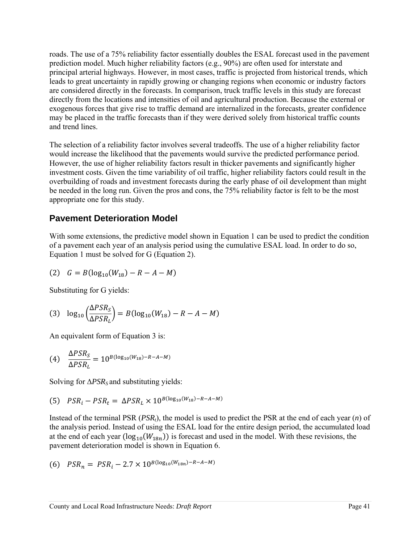roads. The use of a 75% reliability factor essentially doubles the ESAL forecast used in the pavement prediction model. Much higher reliability factors (e.g., 90%) are often used for interstate and principal arterial highways. However, in most cases, traffic is projected from historical trends, which leads to great uncertainty in rapidly growing or changing regions when economic or industry factors are considered directly in the forecasts. In comparison, truck traffic levels in this study are forecast directly from the locations and intensities of oil and agricultural production. Because the external or exogenous forces that give rise to traffic demand are internalized in the forecasts, greater confidence may be placed in the traffic forecasts than if they were derived solely from historical traffic counts and trend lines.

The selection of a reliability factor involves several tradeoffs. The use of a higher reliability factor would increase the likelihood that the pavements would survive the predicted performance period. However, the use of higher reliability factors result in thicker pavements and significantly higher investment costs. Given the time variability of oil traffic, higher reliability factors could result in the overbuilding of roads and investment forecasts during the early phase of oil development than might be needed in the long run. Given the pros and cons, the 75% reliability factor is felt to be the most appropriate one for this study.

#### **Pavement Deterioration Model**

With some extensions, the predictive model shown in Equation 1 can be used to predict the condition of a pavement each year of an analysis period using the cumulative ESAL load. In order to do so, Equation 1 must be solved for G (Equation 2).

(2) 
$$
G = B(\log_{10}(W_{18}) - R - A - M)
$$

Substituting for G yields:

(3) 
$$
\log_{10} \left( \frac{\Delta PSR_S}{\Delta PSR_L} \right) = B(\log_{10}(W_{18}) - R - A - M)
$$

An equivalent form of Equation 3 is:

(4) 
$$
\frac{\Delta PSR_S}{\Delta PSR_L} = 10^{B(\log_{10}(W_{18}) - R - A - M)}
$$

Solving for ∆*PSR<sub>S</sub>* and substituting yields:

(5) 
$$
PSR_i - PSR_t = \Delta PSR_L \times 10^{B(\log_{10}(W_{18}) - R - A - M)}
$$

Instead of the terminal PSR (*PSRt*), the model is used to predict the PSR at the end of each year (*n*) of the analysis period. Instead of using the ESAL load for the entire design period, the accumulated load at the end of each year  $(log_{10}(W_{18n}))$  is forecast and used in the model. With these revisions, the pavement deterioration model is shown in Equation 6.

(6) 
$$
PSR_n = PSR_i - 2.7 \times 10^{B(\log_{10}(W_{18n}) - R - A - M)}
$$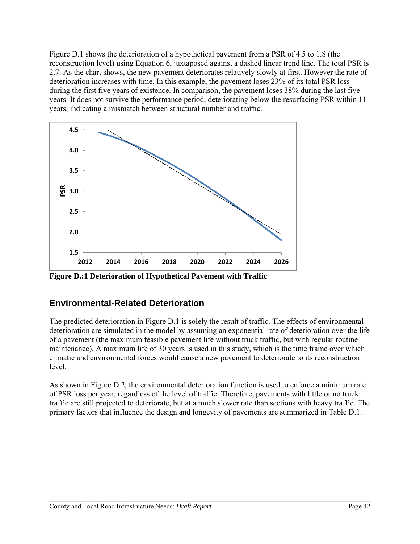Figure D.1 shows the deterioration of a hypothetical pavement from a PSR of 4.5 to 1.8 (the reconstruction level) using Equation 6, juxtaposed against a dashed linear trend line. The total PSR is 2.7. As the chart shows, the new pavement deteriorates relatively slowly at first. However the rate of deterioration increases with time. In this example, the pavement loses 23% of its total PSR loss during the first five years of existence. In comparison, the pavement loses 38% during the last five years. It does not survive the performance period, deteriorating below the resurfacing PSR within 11 years, indicating a mismatch between structural number and traffic.



**Figure D.:1 Deterioration of Hypothetical Pavement with Traffic** 

## **Environmental-Related Deterioration**

The predicted deterioration in Figure D.1 is solely the result of traffic. The effects of environmental deterioration are simulated in the model by assuming an exponential rate of deterioration over the life of a pavement (the maximum feasible pavement life without truck traffic, but with regular routine maintenance). A maximum life of 30 years is used in this study, which is the time frame over which climatic and environmental forces would cause a new pavement to deteriorate to its reconstruction level.

As shown in Figure D.2, the environmental deterioration function is used to enforce a minimum rate of PSR loss per year, regardless of the level of traffic. Therefore, pavements with little or no truck traffic are still projected to deteriorate, but at a much slower rate than sections with heavy traffic. The primary factors that influence the design and longevity of pavements are summarized in Table D.1.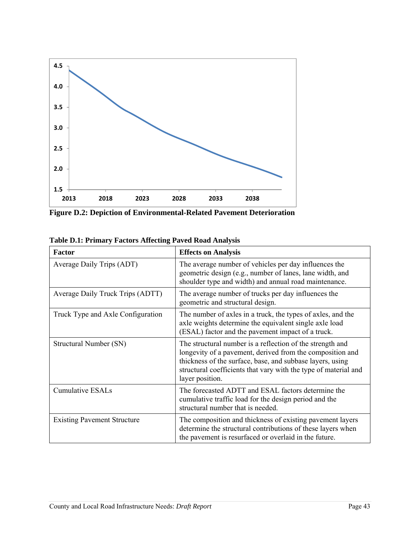

**Figure D.2: Depiction of Environmental-Related Pavement Deterioration** 

| <b>Factor</b>                      | <b>Effects on Analysis</b>                                                                                                                                                                                                                                                |
|------------------------------------|---------------------------------------------------------------------------------------------------------------------------------------------------------------------------------------------------------------------------------------------------------------------------|
| Average Daily Trips (ADT)          | The average number of vehicles per day influences the<br>geometric design (e.g., number of lanes, lane width, and<br>shoulder type and width) and annual road maintenance.                                                                                                |
| Average Daily Truck Trips (ADTT)   | The average number of trucks per day influences the<br>geometric and structural design.                                                                                                                                                                                   |
| Truck Type and Axle Configuration  | The number of axles in a truck, the types of axles, and the<br>axle weights determine the equivalent single axle load<br>(ESAL) factor and the pavement impact of a truck.                                                                                                |
| Structural Number (SN)             | The structural number is a reflection of the strength and<br>longevity of a pavement, derived from the composition and<br>thickness of the surface, base, and subbase layers, using<br>structural coefficients that vary with the type of material and<br>layer position. |
| <b>Cumulative ESALs</b>            | The forecasted ADTT and ESAL factors determine the<br>cumulative traffic load for the design period and the<br>structural number that is needed.                                                                                                                          |
| <b>Existing Pavement Structure</b> | The composition and thickness of existing pavement layers<br>determine the structural contributions of these layers when<br>the pavement is resurfaced or overlaid in the future.                                                                                         |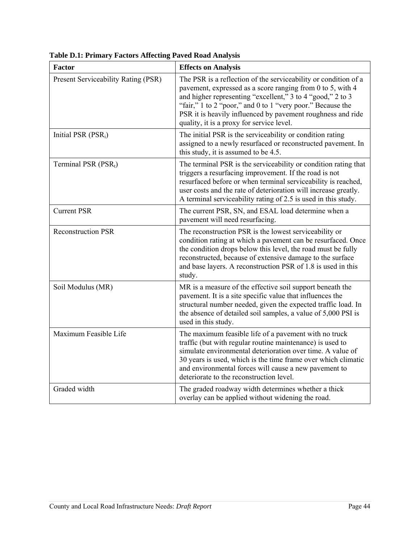| <b>Factor</b>                       | <b>Effects on Analysis</b>                                                                                                                                                                                                                                                                                                                                            |
|-------------------------------------|-----------------------------------------------------------------------------------------------------------------------------------------------------------------------------------------------------------------------------------------------------------------------------------------------------------------------------------------------------------------------|
| Present Serviceability Rating (PSR) | The PSR is a reflection of the serviceability or condition of a<br>pavement, expressed as a score ranging from 0 to 5, with 4<br>and higher representing "excellent," 3 to 4 "good," 2 to 3<br>"fair," 1 to 2 "poor," and 0 to 1 "very poor." Because the<br>PSR it is heavily influenced by pavement roughness and ride<br>quality, it is a proxy for service level. |
| Initial PSR (PSR <sub>i</sub> )     | The initial PSR is the serviceability or condition rating<br>assigned to a newly resurfaced or reconstructed pavement. In<br>this study, it is assumed to be 4.5.                                                                                                                                                                                                     |
| Terminal PSR $(PSR_t)$              | The terminal PSR is the serviceability or condition rating that<br>triggers a resurfacing improvement. If the road is not<br>resurfaced before or when terminal serviceability is reached,<br>user costs and the rate of deterioration will increase greatly.<br>A terminal serviceability rating of 2.5 is used in this study.                                       |
| <b>Current PSR</b>                  | The current PSR, SN, and ESAL load determine when a<br>pavement will need resurfacing.                                                                                                                                                                                                                                                                                |
| <b>Reconstruction PSR</b>           | The reconstruction PSR is the lowest serviceability or<br>condition rating at which a pavement can be resurfaced. Once<br>the condition drops below this level, the road must be fully<br>reconstructed, because of extensive damage to the surface<br>and base layers. A reconstruction PSR of 1.8 is used in this<br>study.                                         |
| Soil Modulus (MR)                   | MR is a measure of the effective soil support beneath the<br>pavement. It is a site specific value that influences the<br>structural number needed, given the expected traffic load. In<br>the absence of detailed soil samples, a value of 5,000 PSI is<br>used in this study.                                                                                       |
| Maximum Feasible Life               | The maximum feasible life of a pavement with no truck<br>traffic (but with regular routine maintenance) is used to<br>simulate environmental deterioration over time. A value of<br>30 years is used, which is the time frame over which climatic<br>and environmental forces will cause a new pavement to<br>deteriorate to the reconstruction level.                |
| Graded width                        | The graded roadway width determines whether a thick<br>overlay can be applied without widening the road.                                                                                                                                                                                                                                                              |

**Table D.1: Primary Factors Affecting Paved Road Analysis**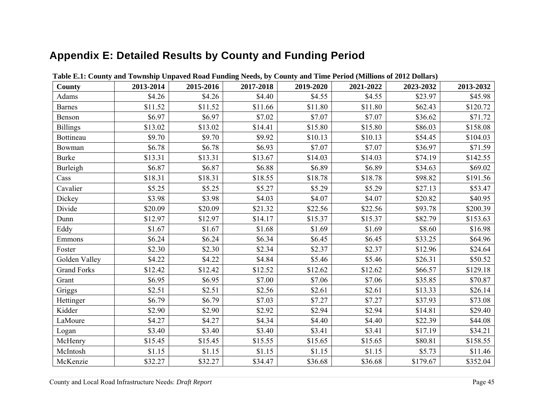# **Appendix E: Detailed Results by County and Funding Period**

| County             | 2013-2014 | 2015-2016 | 2017-2018 | 2019-2020 | 2021-2022 | 2023-2032 | 2013-2032 |
|--------------------|-----------|-----------|-----------|-----------|-----------|-----------|-----------|
| Adams              | \$4.26    | \$4.26    | \$4.40    | \$4.55    | \$4.55    | \$23.97   | \$45.98   |
| Barnes             | \$11.52   | \$11.52   | \$11.66   | \$11.80   | \$11.80   | \$62.43   | \$120.72  |
| Benson             | \$6.97    | \$6.97    | \$7.02    | \$7.07    | \$7.07    | \$36.62   | \$71.72   |
| <b>Billings</b>    | \$13.02   | \$13.02   | \$14.41   | \$15.80   | \$15.80   | \$86.03   | \$158.08  |
| Bottineau          | \$9.70    | \$9.70    | \$9.92    | \$10.13   | \$10.13   | \$54.45   | \$104.03  |
| Bowman             | \$6.78    | \$6.78    | \$6.93    | \$7.07    | \$7.07    | \$36.97   | \$71.59   |
| <b>Burke</b>       | \$13.31   | \$13.31   | \$13.67   | \$14.03   | \$14.03   | \$74.19   | \$142.55  |
| Burleigh           | \$6.87    | \$6.87    | \$6.88    | \$6.89    | \$6.89    | \$34.63   | \$69.02   |
| Cass               | \$18.31   | \$18.31   | \$18.55   | \$18.78   | \$18.78   | \$98.82   | \$191.56  |
| Cavalier           | \$5.25    | \$5.25    | \$5.27    | \$5.29    | \$5.29    | \$27.13   | \$53.47   |
| Dickey             | \$3.98    | \$3.98    | \$4.03    | \$4.07    | \$4.07    | \$20.82   | \$40.95   |
| Divide             | \$20.09   | \$20.09   | \$21.32   | \$22.56   | \$22.56   | \$93.78   | \$200.39  |
| Dunn               | \$12.97   | \$12.97   | \$14.17   | \$15.37   | \$15.37   | \$82.79   | \$153.63  |
| Eddy               | \$1.67    | \$1.67    | \$1.68    | \$1.69    | \$1.69    | \$8.60    | \$16.98   |
| Emmons             | \$6.24    | \$6.24    | \$6.34    | \$6.45    | \$6.45    | \$33.25   | \$64.96   |
| Foster             | \$2.30    | \$2.30    | \$2.34    | \$2.37    | \$2.37    | \$12.96   | \$24.64   |
| Golden Valley      | \$4.22    | \$4.22    | \$4.84    | \$5.46    | \$5.46    | \$26.31   | \$50.52   |
| <b>Grand Forks</b> | \$12.42   | \$12.42   | \$12.52   | \$12.62   | \$12.62   | \$66.57   | \$129.18  |
| Grant              | \$6.95    | \$6.95    | \$7.00    | \$7.06    | \$7.06    | \$35.85   | \$70.87   |
| Griggs             | \$2.51    | \$2.51    | \$2.56    | \$2.61    | \$2.61    | \$13.33   | \$26.14   |
| Hettinger          | \$6.79    | \$6.79    | \$7.03    | \$7.27    | \$7.27    | \$37.93   | \$73.08   |
| Kidder             | \$2.90    | \$2.90    | \$2.92    | \$2.94    | \$2.94    | \$14.81   | \$29.40   |
| LaMoure            | \$4.27    | \$4.27    | \$4.34    | \$4.40    | \$4.40    | \$22.39   | \$44.08   |
| Logan              | \$3.40    | \$3.40    | \$3.40    | \$3.41    | \$3.41    | \$17.19   | \$34.21   |
| McHenry            | \$15.45   | \$15.45   | \$15.55   | \$15.65   | \$15.65   | \$80.81   | \$158.55  |
| McIntosh           | \$1.15    | \$1.15    | \$1.15    | \$1.15    | \$1.15    | \$5.73    | \$11.46   |
| McKenzie           | \$32.27   | \$32.27   | \$34.47   | \$36.68   | \$36.68   | \$179.67  | \$352.04  |

**Table E.1: County and Township Unpaved Road Funding Needs, by County and Time Period (Millions of 2012 Dollars)**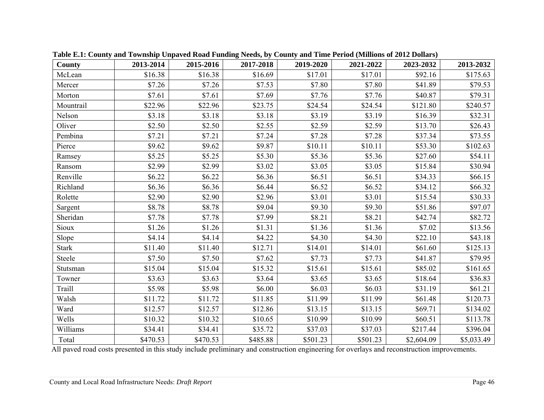| County       | 2013-2014 | 2015-2016 | 2017-2018 | 2019-2020 | 2021-2022 | 2023-2032  | 2013-2032  |
|--------------|-----------|-----------|-----------|-----------|-----------|------------|------------|
| McLean       | \$16.38   | \$16.38   | \$16.69   | \$17.01   | \$17.01   | \$92.16    | \$175.63   |
| Mercer       | \$7.26    | \$7.26    | \$7.53    | \$7.80    | \$7.80    | \$41.89    | \$79.53    |
| Morton       | \$7.61    | \$7.61    | \$7.69    | \$7.76    | \$7.76    | \$40.87    | \$79.31    |
| Mountrail    | \$22.96   | \$22.96   | \$23.75   | \$24.54   | \$24.54   | \$121.80   | \$240.57   |
| Nelson       | \$3.18    | \$3.18    | \$3.18    | \$3.19    | \$3.19    | \$16.39    | \$32.31    |
| Oliver       | \$2.50    | \$2.50    | \$2.55    | \$2.59    | \$2.59    | \$13.70    | \$26.43    |
| Pembina      | \$7.21    | \$7.21    | \$7.24    | \$7.28    | \$7.28    | \$37.34    | \$73.55    |
| Pierce       | \$9.62    | \$9.62    | \$9.87    | \$10.11   | \$10.11   | \$53.30    | \$102.63   |
| Ramsey       | \$5.25    | \$5.25    | \$5.30    | \$5.36    | \$5.36    | \$27.60    | \$54.11    |
| Ransom       | \$2.99    | \$2.99    | \$3.02    | \$3.05    | \$3.05    | \$15.84    | \$30.94    |
| Renville     | \$6.22    | \$6.22    | \$6.36    | \$6.51    | \$6.51    | \$34.33    | \$66.15    |
| Richland     | \$6.36    | \$6.36    | \$6.44    | \$6.52    | \$6.52    | \$34.12    | \$66.32    |
| Rolette      | \$2.90    | \$2.90    | \$2.96    | \$3.01    | \$3.01    | \$15.54    | \$30.33    |
| Sargent      | \$8.78    | \$8.78    | \$9.04    | \$9.30    | \$9.30    | \$51.86    | \$97.07    |
| Sheridan     | \$7.78    | \$7.78    | \$7.99    | \$8.21    | \$8.21    | \$42.74    | \$82.72    |
| Sioux        | \$1.26    | \$1.26    | \$1.31    | \$1.36    | \$1.36    | \$7.02     | \$13.56    |
| Slope        | \$4.14    | \$4.14    | \$4.22    | \$4.30    | \$4.30    | \$22.10    | \$43.18    |
| <b>Stark</b> | \$11.40   | \$11.40   | \$12.71   | \$14.01   | \$14.01   | \$61.60    | \$125.13   |
| Steele       | \$7.50    | \$7.50    | \$7.62    | \$7.73    | \$7.73    | \$41.87    | \$79.95    |
| Stutsman     | \$15.04   | \$15.04   | \$15.32   | \$15.61   | \$15.61   | \$85.02    | \$161.65   |
| Towner       | \$3.63    | \$3.63    | \$3.64    | \$3.65    | \$3.65    | \$18.64    | \$36.83    |
| Traill       | \$5.98    | \$5.98    | \$6.00    | \$6.03    | \$6.03    | \$31.19    | \$61.21    |
| Walsh        | \$11.72   | \$11.72   | \$11.85   | \$11.99   | \$11.99   | \$61.48    | \$120.73   |
| Ward         | \$12.57   | \$12.57   | \$12.86   | \$13.15   | \$13.15   | \$69.71    | \$134.02   |
| Wells        | \$10.32   | \$10.32   | \$10.65   | \$10.99   | \$10.99   | \$60.51    | \$113.78   |
| Williams     | \$34.41   | \$34.41   | \$35.72   | \$37.03   | \$37.03   | \$217.44   | \$396.04   |
| Total        | \$470.53  | \$470.53  | \$485.88  | \$501.23  | \$501.23  | \$2,604.09 | \$5,033.49 |

**Table E.1: County and Township Unpaved Road Funding Needs, by County and Time Period (Millions of 2012 Dollars)** 

All paved road costs presented in this study include preliminary and construction engineering for overlays and reconstruction improvements.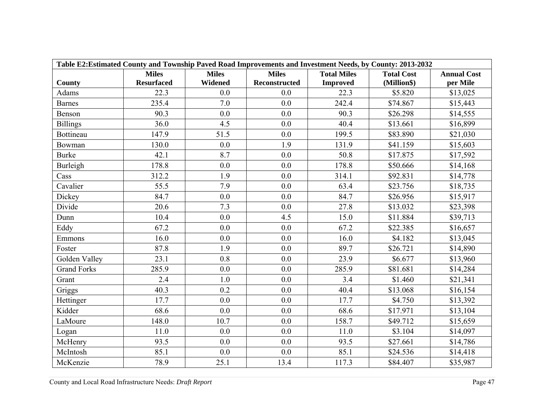| Table E2: Estimated County and Township Paved Road Improvements and Investment Needs, by County: 2013-2032 |                   |              |               |                    |                   |                    |  |  |  |
|------------------------------------------------------------------------------------------------------------|-------------------|--------------|---------------|--------------------|-------------------|--------------------|--|--|--|
|                                                                                                            | <b>Miles</b>      | <b>Miles</b> | <b>Miles</b>  | <b>Total Miles</b> | <b>Total Cost</b> | <b>Annual Cost</b> |  |  |  |
| <b>County</b>                                                                                              | <b>Resurfaced</b> | Widened      | Reconstructed | <b>Improved</b>    | (Million\$)       | per Mile           |  |  |  |
| <b>Adams</b>                                                                                               | 22.3              | 0.0          | 0.0           | 22.3               | \$5.820           | \$13,025           |  |  |  |
| <b>Barnes</b>                                                                                              | 235.4             | 7.0          | 0.0           | 242.4              | \$74.867          | \$15,443           |  |  |  |
| Benson                                                                                                     | 90.3              | 0.0          | 0.0           | 90.3               | \$26.298          | \$14,555           |  |  |  |
| <b>Billings</b>                                                                                            | 36.0              | 4.5          | 0.0           | 40.4               | \$13.661          | \$16,899           |  |  |  |
| Bottineau                                                                                                  | 147.9             | 51.5         | 0.0           | 199.5              | \$83.890          | \$21,030           |  |  |  |
| Bowman                                                                                                     | 130.0             | 0.0          | 1.9           | 131.9              | \$41.159          | \$15,603           |  |  |  |
| <b>Burke</b>                                                                                               | 42.1              | 8.7          | 0.0           | 50.8               | \$17.875          | \$17,592           |  |  |  |
| Burleigh                                                                                                   | 178.8             | 0.0          | 0.0           | 178.8              | \$50.666          | \$14,168           |  |  |  |
| Cass                                                                                                       | 312.2             | 1.9          | 0.0           | 314.1              | \$92.831          | \$14,778           |  |  |  |
| Cavalier                                                                                                   | 55.5              | 7.9          | 0.0           | 63.4               | \$23.756          | \$18,735           |  |  |  |
| Dickey                                                                                                     | 84.7              | 0.0          | 0.0           | 84.7               | \$26.956          | \$15,917           |  |  |  |
| Divide                                                                                                     | 20.6              | 7.3          | 0.0           | 27.8               | \$13.032          | \$23,398           |  |  |  |
| Dunn                                                                                                       | 10.4              | 0.0          | 4.5           | 15.0               | \$11.884          | \$39,713           |  |  |  |
| Eddy                                                                                                       | 67.2              | 0.0          | 0.0           | 67.2               | \$22.385          | \$16,657           |  |  |  |
| Emmons                                                                                                     | 16.0              | 0.0          | 0.0           | 16.0               | \$4.182           | \$13,045           |  |  |  |
| Foster                                                                                                     | 87.8              | 1.9          | 0.0           | 89.7               | \$26.721          | \$14,890           |  |  |  |
| Golden Valley                                                                                              | 23.1              | 0.8          | 0.0           | 23.9               | \$6.677           | \$13,960           |  |  |  |
| <b>Grand Forks</b>                                                                                         | 285.9             | 0.0          | 0.0           | 285.9              | \$81.681          | \$14,284           |  |  |  |
| Grant                                                                                                      | 2.4               | 1.0          | 0.0           | 3.4                | \$1.460           | \$21,341           |  |  |  |
| Griggs                                                                                                     | 40.3              | 0.2          | 0.0           | 40.4               | \$13.068          | \$16,154           |  |  |  |
| Hettinger                                                                                                  | 17.7              | 0.0          | 0.0           | 17.7               | \$4.750           | \$13,392           |  |  |  |
| Kidder                                                                                                     | 68.6              | 0.0          | 0.0           | 68.6               | \$17.971          | \$13,104           |  |  |  |
| LaMoure                                                                                                    | 148.0             | 10.7         | 0.0           | 158.7              | \$49.712          | \$15,659           |  |  |  |
| Logan                                                                                                      | 11.0              | 0.0          | 0.0           | 11.0               | \$3.104           | \$14,097           |  |  |  |
| McHenry                                                                                                    | 93.5              | 0.0          | 0.0           | 93.5               | \$27.661          | \$14,786           |  |  |  |
| McIntosh                                                                                                   | 85.1              | 0.0          | 0.0           | 85.1               | \$24.536          | \$14,418           |  |  |  |
| McKenzie                                                                                                   | 78.9              | 25.1         | 13.4          | 117.3              | \$84.407          | \$35,987           |  |  |  |

County and Local Road Infrastructure Needs: *Draft Report* Page 47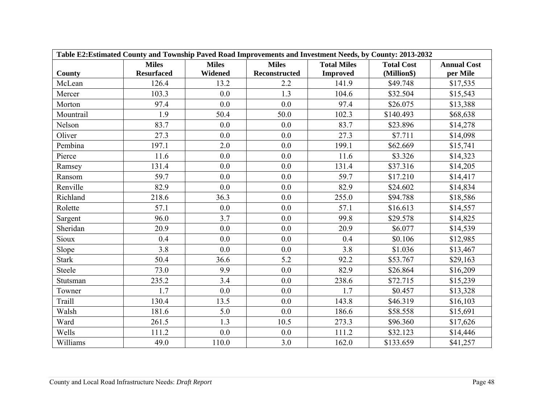| Table E2: Estimated County and Township Paved Road Improvements and Investment Needs, by County: 2013-2032 |                   |                |               |                    |                   |                    |  |  |
|------------------------------------------------------------------------------------------------------------|-------------------|----------------|---------------|--------------------|-------------------|--------------------|--|--|
|                                                                                                            | <b>Miles</b>      | <b>Miles</b>   | <b>Miles</b>  | <b>Total Miles</b> | <b>Total Cost</b> | <b>Annual Cost</b> |  |  |
| County                                                                                                     | <b>Resurfaced</b> | <b>Widened</b> | Reconstructed | <b>Improved</b>    | (Million\$)       | per Mile           |  |  |
| McLean                                                                                                     | 126.4             | 13.2           | 2.2           | 141.9              | \$49.748          | \$17,535           |  |  |
| Mercer                                                                                                     | 103.3             | 0.0            | 1.3           | 104.6              | \$32.504          | \$15,543           |  |  |
| Morton                                                                                                     | 97.4              | 0.0            | 0.0           | 97.4               | \$26.075          | \$13,388           |  |  |
| Mountrail                                                                                                  | 1.9               | 50.4           | 50.0          | 102.3              | \$140.493         | \$68,638           |  |  |
| Nelson                                                                                                     | 83.7              | 0.0            | 0.0           | 83.7               | \$23.896          | \$14,278           |  |  |
| Oliver                                                                                                     | 27.3              | 0.0            | 0.0           | 27.3               | \$7.711           | \$14,098           |  |  |
| Pembina                                                                                                    | 197.1             | 2.0            | 0.0           | 199.1              | \$62.669          | \$15,741           |  |  |
| Pierce                                                                                                     | 11.6              | 0.0            | 0.0           | 11.6               | \$3.326           | \$14,323           |  |  |
| Ramsey                                                                                                     | 131.4             | 0.0            | 0.0           | 131.4              | \$37.316          | \$14,205           |  |  |
| Ransom                                                                                                     | 59.7              | 0.0            | 0.0           | 59.7               | \$17.210          | \$14,417           |  |  |
| Renville                                                                                                   | 82.9              | 0.0            | 0.0           | 82.9               | \$24.602          | \$14,834           |  |  |
| Richland                                                                                                   | 218.6             | 36.3           | 0.0           | 255.0              | \$94.788          | \$18,586           |  |  |
| Rolette                                                                                                    | 57.1              | 0.0            | 0.0           | 57.1               | \$16.613          | \$14,557           |  |  |
| Sargent                                                                                                    | 96.0              | 3.7            | 0.0           | 99.8               | \$29.578          | \$14,825           |  |  |
| Sheridan                                                                                                   | 20.9              | 0.0            | 0.0           | 20.9               | \$6.077           | \$14,539           |  |  |
| Sioux                                                                                                      | 0.4               | 0.0            | 0.0           | 0.4                | \$0.106           | \$12,985           |  |  |
| Slope                                                                                                      | 3.8               | 0.0            | 0.0           | 3.8                | \$1.036           | \$13,467           |  |  |
| <b>Stark</b>                                                                                               | 50.4              | 36.6           | 5.2           | 92.2               | \$53.767          | \$29,163           |  |  |
| Steele                                                                                                     | 73.0              | 9.9            | 0.0           | 82.9               | \$26.864          | \$16,209           |  |  |
| Stutsman                                                                                                   | 235.2             | 3.4            | 0.0           | 238.6              | \$72.715          | \$15,239           |  |  |
| Towner                                                                                                     | 1.7               | 0.0            | 0.0           | 1.7                | \$0.457           | \$13,328           |  |  |
| Traill                                                                                                     | 130.4             | 13.5           | 0.0           | 143.8              | \$46.319          | \$16,103           |  |  |
| Walsh                                                                                                      | 181.6             | 5.0            | 0.0           | 186.6              | \$58.558          | \$15,691           |  |  |
| Ward                                                                                                       | 261.5             | 1.3            | 10.5          | 273.3              | \$96.360          | \$17,626           |  |  |
| Wells                                                                                                      | 111.2             | 0.0            | 0.0           | 111.2              | \$32.123          | \$14,446           |  |  |
| Williams                                                                                                   | 49.0              | 110.0          | 3.0           | 162.0              | \$133.659         | \$41,257           |  |  |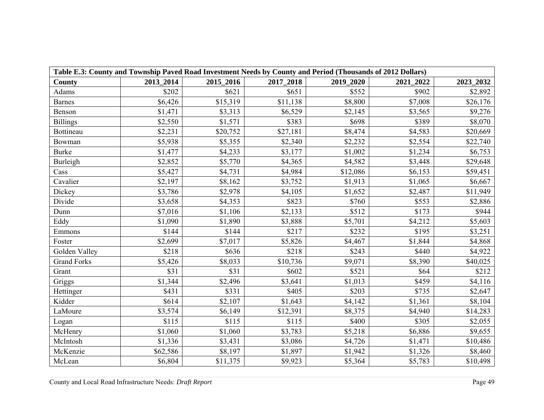| Table E.3: County and Township Paved Road Investment Needs by County and Period (Thousands of 2012 Dollars) |           |           |           |           |           |           |  |  |  |
|-------------------------------------------------------------------------------------------------------------|-----------|-----------|-----------|-----------|-----------|-----------|--|--|--|
| County                                                                                                      | 2013_2014 | 2015_2016 | 2017_2018 | 2019_2020 | 2021_2022 | 2023_2032 |  |  |  |
| Adams                                                                                                       | \$202     | \$621     | \$651     | \$552     | \$902     | \$2,892   |  |  |  |
| <b>Barnes</b>                                                                                               | \$6,426   | \$15,319  | \$11,138  | \$8,800   | \$7,008   | \$26,176  |  |  |  |
| Benson                                                                                                      | \$1,471   | \$3,313   | \$6,529   | \$2,145   | \$3,565   | \$9,276   |  |  |  |
| <b>Billings</b>                                                                                             | \$2,550   | \$1,571   | \$383     | \$698     | \$389     | \$8,070   |  |  |  |
| Bottineau                                                                                                   | \$2,231   | \$20,752  | \$27,181  | \$8,474   | \$4,583   | \$20,669  |  |  |  |
| Bowman                                                                                                      | \$5,938   | \$5,355   | \$2,340   | \$2,232   | \$2,554   | \$22,740  |  |  |  |
| <b>Burke</b>                                                                                                | \$1,477   | \$4,233   | \$3,177   | \$1,002   | \$1,234   | \$6,753   |  |  |  |
| <b>Burleigh</b>                                                                                             | \$2,852   | \$5,770   | \$4,365   | \$4,582   | \$3,448   | \$29,648  |  |  |  |
| Cass                                                                                                        | \$5,427   | \$4,731   | \$4,984   | \$12,086  | \$6,153   | \$59,451  |  |  |  |
| Cavalier                                                                                                    | \$2,197   | \$8,162   | \$3,752   | \$1,913   | \$1,065   | \$6,667   |  |  |  |
| Dickey                                                                                                      | \$3,786   | \$2,978   | \$4,105   | \$1,652   | \$2,487   | \$11,949  |  |  |  |
| Divide                                                                                                      | \$3,658   | \$4,353   | \$823     | \$760     | \$553     | \$2,886   |  |  |  |
| Dunn                                                                                                        | \$7,016   | \$1,106   | \$2,133   | \$512     | \$173     | \$944     |  |  |  |
| Eddy                                                                                                        | \$1,090   | \$1,890   | \$3,888   | \$5,701   | \$4,212   | \$5,603   |  |  |  |
| Emmons                                                                                                      | \$144     | \$144     | \$217     | \$232     | \$195     | \$3,251   |  |  |  |
| Foster                                                                                                      | \$2,699   | \$7,017   | \$5,826   | \$4,467   | \$1,844   | \$4,868   |  |  |  |
| Golden Valley                                                                                               | \$218     | \$636     | \$218     | \$243     | \$440     | \$4,922   |  |  |  |
| <b>Grand Forks</b>                                                                                          | \$5,426   | \$8,033   | \$10,736  | \$9,071   | \$8,390   | \$40,025  |  |  |  |
| Grant                                                                                                       | \$31      | \$31      | \$602     | \$521     | \$64      | \$212     |  |  |  |
| Griggs                                                                                                      | \$1,344   | \$2,496   | \$3,641   | \$1,013   | \$459     | \$4,116   |  |  |  |
| Hettinger                                                                                                   | \$431     | \$331     | \$405     | \$203     | \$735     | \$2,647   |  |  |  |
| Kidder                                                                                                      | \$614     | \$2,107   | \$1,643   | \$4,142   | \$1,361   | \$8,104   |  |  |  |
| LaMoure                                                                                                     | \$3,574   | \$6,149   | \$12,391  | \$8,375   | \$4,940   | \$14,283  |  |  |  |
| Logan                                                                                                       | \$115     | \$115     | \$115     | \$400     | \$305     | \$2,055   |  |  |  |
| McHenry                                                                                                     | \$1,060   | \$1,060   | \$3,783   | \$5,218   | \$6,886   | \$9,655   |  |  |  |
| McIntosh                                                                                                    | \$1,336   | \$3,431   | \$3,086   | \$4,726   | \$1,471   | \$10,486  |  |  |  |
| McKenzie                                                                                                    | \$62,586  | \$8,197   | \$1,897   | \$1,942   | \$1,326   | \$8,460   |  |  |  |
| McLean                                                                                                      | \$6,804   | \$11,375  | \$9,923   | \$5,364   | \$5,783   | \$10,498  |  |  |  |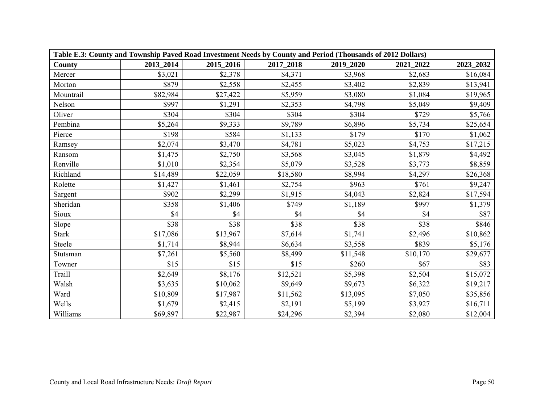| Table E.3: County and Township Paved Road Investment Needs by County and Period (Thousands of 2012 Dollars) |           |           |           |           |           |           |  |  |  |
|-------------------------------------------------------------------------------------------------------------|-----------|-----------|-----------|-----------|-----------|-----------|--|--|--|
| <b>County</b>                                                                                               | 2013 2014 | 2015_2016 | 2017_2018 | 2019_2020 | 2021 2022 | 2023_2032 |  |  |  |
| Mercer                                                                                                      | \$3,021   | \$2,378   | \$4,371   | \$3,968   | \$2,683   | \$16,084  |  |  |  |
| Morton                                                                                                      | \$879     | \$2,558   | \$2,455   | \$3,402   | \$2,839   | \$13,941  |  |  |  |
| Mountrail                                                                                                   | \$82,984  | \$27,422  | \$5,959   | \$3,080   | \$1,084   | \$19,965  |  |  |  |
| Nelson                                                                                                      | \$997     | \$1,291   | \$2,353   | \$4,798   | \$5,049   | \$9,409   |  |  |  |
| Oliver                                                                                                      | \$304     | \$304     | \$304     | \$304     | \$729     | \$5,766   |  |  |  |
| Pembina                                                                                                     | \$5,264   | \$9,333   | \$9,789   | \$6,896   | \$5,734   | \$25,654  |  |  |  |
| Pierce                                                                                                      | \$198     | \$584     | \$1,133   | \$179     | \$170     | \$1,062   |  |  |  |
| Ramsey                                                                                                      | \$2,074   | \$3,470   | \$4,781   | \$5,023   | \$4,753   | \$17,215  |  |  |  |
| Ransom                                                                                                      | \$1,475   | \$2,750   | \$3,568   | \$3,045   | \$1,879   | \$4,492   |  |  |  |
| Renville                                                                                                    | \$1,010   | \$2,354   | \$5,079   | \$3,528   | \$3,773   | \$8,859   |  |  |  |
| Richland                                                                                                    | \$14,489  | \$22,059  | \$18,580  | \$8,994   | \$4,297   | \$26,368  |  |  |  |
| Rolette                                                                                                     | \$1,427   | \$1,461   | \$2,754   | \$963     | \$761     | \$9,247   |  |  |  |
| Sargent                                                                                                     | \$902     | \$2,299   | \$1,915   | \$4,043   | \$2,824   | \$17,594  |  |  |  |
| Sheridan                                                                                                    | \$358     | \$1,406   | \$749     | \$1,189   | \$997     | \$1,379   |  |  |  |
| Sioux                                                                                                       | \$4       | \$4       | \$4       | \$4       | \$4       | \$87      |  |  |  |
| Slope                                                                                                       | \$38      | \$38      | \$38      | \$38      | \$38      | \$846     |  |  |  |
| <b>Stark</b>                                                                                                | \$17,086  | \$13,967  | \$7,614   | \$1,741   | \$2,496   | \$10,862  |  |  |  |
| Steele                                                                                                      | \$1,714   | \$8,944   | \$6,634   | \$3,558   | \$839     | \$5,176   |  |  |  |
| Stutsman                                                                                                    | \$7,261   | \$5,560   | \$8,499   | \$11,548  | \$10,170  | \$29,677  |  |  |  |
| Towner                                                                                                      | \$15      | \$15      | \$15      | \$260     | \$67      | \$83      |  |  |  |
| Traill                                                                                                      | \$2,649   | \$8,176   | \$12,521  | \$5,398   | \$2,504   | \$15,072  |  |  |  |
| Walsh                                                                                                       | \$3,635   | \$10,062  | \$9,649   | \$9,673   | \$6,322   | \$19,217  |  |  |  |
| Ward                                                                                                        | \$10,809  | \$17,987  | \$11,562  | \$13,095  | \$7,050   | \$35,856  |  |  |  |
| Wells                                                                                                       | \$1,679   | \$2,415   | \$2,191   | \$5,199   | \$3,927   | \$16,711  |  |  |  |
| Williams                                                                                                    | \$69,897  | \$22,987  | \$24,296  | \$2,394   | \$2,080   | \$12,004  |  |  |  |